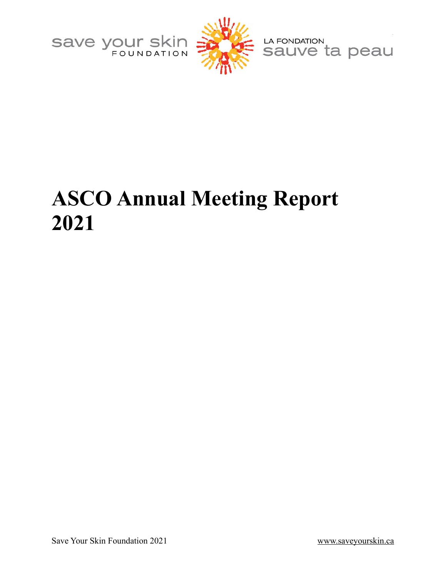



LA FONDATION<br>Sauve ta peau

# <span id="page-0-1"></span><span id="page-0-0"></span>**ASCO Annual Meeting Report 2021**

Save Your Skin Foundation 2021 [www.saveyourskin.ca](http://www.saveyourskin.ca)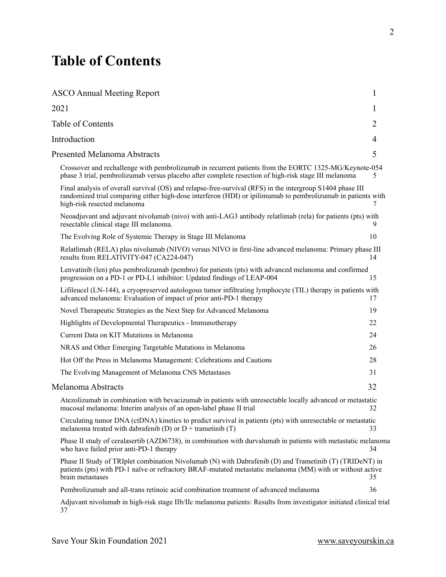# <span id="page-1-0"></span>**Table of Contents**

| <b>ASCO Annual Meeting Report</b>                                                                                                                                                                                                                        | 1  |
|----------------------------------------------------------------------------------------------------------------------------------------------------------------------------------------------------------------------------------------------------------|----|
| 2021                                                                                                                                                                                                                                                     | 1  |
| <b>Table of Contents</b>                                                                                                                                                                                                                                 | 2  |
| Introduction                                                                                                                                                                                                                                             | 4  |
| <b>Presented Melanoma Abstracts</b>                                                                                                                                                                                                                      | 5  |
| Crossover and rechallenge with pembrolizumab in recurrent patients from the EORTC 1325-MG/Keynote-054<br>phase 3 trial, pembrolizumab versus placebo after complete resection of high-risk stage III melanoma                                            | 5  |
| Final analysis of overall survival (OS) and relapse-free-survival (RFS) in the intergroup S1404 phase III<br>randomized trial comparing either high-dose interferon (HDI) or ipilimumab to pembrolizumab in patients with<br>high-risk resected melanoma | 7  |
| Neoadjuvant and adjuvant nivolumab (nivo) with anti-LAG3 antibody relatimab (rela) for patients (pts) with<br>resectable clinical stage III melanoma.                                                                                                    | 9. |
| The Evolving Role of Systemic Therapy in Stage III Melanoma                                                                                                                                                                                              | 10 |
| Relatlimab (RELA) plus nivolumab (NIVO) versus NIVO in first-line advanced melanoma: Primary phase III<br>results from RELATIVITY-047 (CA224-047)                                                                                                        | 14 |
| Lenvatinib (len) plus pembrolizumab (pembro) for patients (pts) with advanced melanoma and confirmed<br>progression on a PD-1 or PD-L1 inhibitor: Updated findings of LEAP-004                                                                           | 15 |
| Lifileucel (LN-144), a cryopreserved autologous tumor infiltrating lymphocyte (TIL) therapy in patients with<br>advanced melanoma: Evaluation of impact of prior anti-PD-1 therapy                                                                       | 17 |
| Novel Therapeutic Strategies as the Next Step for Advanced Melanoma                                                                                                                                                                                      | 19 |
| Highlights of Developmental Therapeutics - Immunotherapy                                                                                                                                                                                                 | 22 |
| Current Data on KIT Mutations in Melanoma                                                                                                                                                                                                                | 24 |
| NRAS and Other Emerging Targetable Mutations in Melanoma                                                                                                                                                                                                 | 26 |
| Hot Off the Press in Melanoma Management: Celebrations and Cautions                                                                                                                                                                                      | 28 |
| The Evolving Management of Melanoma CNS Metastases                                                                                                                                                                                                       | 31 |
| Melanoma Abstracts                                                                                                                                                                                                                                       | 32 |
| Atezolizumab in combination with bevacizumab in patients with unresectable locally advanced or metastatic<br>mucosal melanoma: Interim analysis of an open-label phase II trial                                                                          | 32 |
| Circulating tumor DNA (ctDNA) kinetics to predict survival in patients (pts) with unresectable or metastatic<br>melanoma treated with dabrafenib (D) or $D$ + trametinib (T)                                                                             | 33 |
| Phase II study of ceralasertib (AZD6738), in combination with durvalumab in patients with metastatic melanoma<br>who have failed prior anti-PD-1 therapy                                                                                                 | 34 |
| Phase II Study of TRIplet combination Nivolumab (N) with Dabrafenib (D) and Trametinib (T) (TRIDeNT) in<br>patients (pts) with PD-1 naïve or refractory BRAF-mutated metastatic melanoma (MM) with or without active<br>brain metastases                 | 35 |
| Pembrolizumab and all-trans retinoic acid combination treatment of advanced melanoma                                                                                                                                                                     | 36 |
| Adjuvant nivolumab in high-risk stage IIb/IIc melanoma patients: Results from investigator initiated clinical trial<br>37                                                                                                                                |    |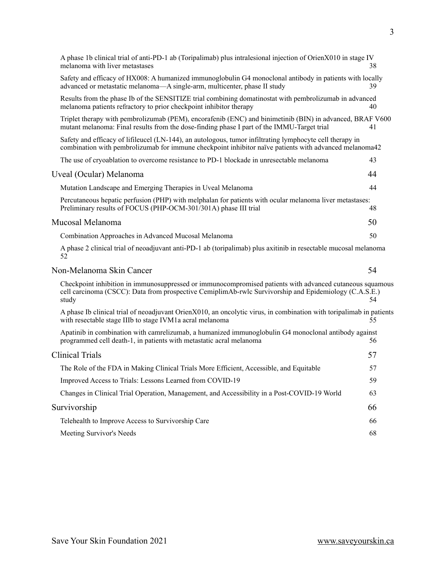| A phase 1b clinical trial of anti-PD-1 ab (Toripalimab) plus intralesional injection of OrienX010 in stage IV                                                                                                                    |  |
|----------------------------------------------------------------------------------------------------------------------------------------------------------------------------------------------------------------------------------|--|
| melanoma with liver metastases<br>38                                                                                                                                                                                             |  |
| Safety and efficacy of HX008: A humanized immunoglobulin G4 monoclonal antibody in patients with locally<br>advanced or metastatic melanoma—A single-arm, multicenter, phase II study<br>39                                      |  |
| Results from the phase Ib of the SENSITIZE trial combining domatinostat with pembrolizumab in advanced<br>melanoma patients refractory to prior checkpoint inhibitor therapy<br>40                                               |  |
| Triplet therapy with pembrolizumab (PEM), encorafenib (ENC) and binimetinib (BIN) in advanced, BRAF V600<br>mutant melanoma: Final results from the dose-finding phase I part of the IMMU-Target trial<br>41                     |  |
| Safety and efficacy of liftleucel (LN-144), an autologous, tumor infiltrating lymphocyte cell therapy in<br>combination with pembrolizumab for immune checkpoint inhibitor naïve patients with advanced melanoma42               |  |
| The use of cryoablation to overcome resistance to PD-1 blockade in unresectable melanoma<br>43                                                                                                                                   |  |
| Uveal (Ocular) Melanoma<br>44                                                                                                                                                                                                    |  |
| Mutation Landscape and Emerging Therapies in Uveal Melanoma<br>44                                                                                                                                                                |  |
| Percutaneous hepatic perfusion (PHP) with melphalan for patients with ocular melanoma liver metastases:<br>Preliminary results of FOCUS (PHP-OCM-301/301A) phase III trial<br>48                                                 |  |
| Mucosal Melanoma<br>50                                                                                                                                                                                                           |  |
| 50<br>Combination Approaches in Advanced Mucosal Melanoma                                                                                                                                                                        |  |
| A phase 2 clinical trial of neoadjuvant anti-PD-1 ab (toripalimab) plus axitinib in resectable mucosal melanoma<br>52                                                                                                            |  |
| Non-Melanoma Skin Cancer<br>54                                                                                                                                                                                                   |  |
| Checkpoint inhibition in immunosuppressed or immunocompromised patients with advanced cutaneous squamous<br>cell carcinoma (CSCC): Data from prospective CemiplimAb-rwlc Survivorship and Epidemiology (C.A.S.E.)<br>study<br>54 |  |
| A phase Ib clinical trial of neoadjuvant OrienX010, an oncolytic virus, in combination with toripalimab in patients<br>with resectable stage IIIb to stage IVM1a acral melanoma<br>55                                            |  |
| Apatinib in combination with camrelizumab, a humanized immunoglobulin G4 monoclonal antibody against<br>programmed cell death-1, in patients with metastatic acral melanoma<br>56                                                |  |
| <b>Clinical Trials</b><br>57                                                                                                                                                                                                     |  |
| The Role of the FDA in Making Clinical Trials More Efficient, Accessible, and Equitable<br>57                                                                                                                                    |  |
| Improved Access to Trials: Lessons Learned from COVID-19<br>59                                                                                                                                                                   |  |
| Changes in Clinical Trial Operation, Management, and Accessibility in a Post-COVID-19 World<br>63                                                                                                                                |  |
| Survivorship<br>66                                                                                                                                                                                                               |  |
| Telehealth to Improve Access to Survivorship Care<br>66                                                                                                                                                                          |  |
| Meeting Survivor's Needs<br>68                                                                                                                                                                                                   |  |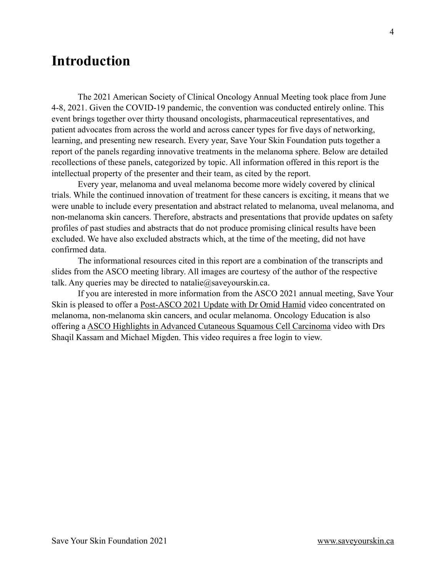# <span id="page-3-0"></span>**Introduction**

The 2021 American Society of Clinical Oncology Annual Meeting took place from June 4-8, 2021. Given the COVID-19 pandemic, the convention was conducted entirely online. This event brings together over thirty thousand oncologists, pharmaceutical representatives, and patient advocates from across the world and across cancer types for five days of networking, learning, and presenting new research. Every year, Save Your Skin Foundation puts together a report of the panels regarding innovative treatments in the melanoma sphere. Below are detailed recollections of these panels, categorized by topic. All information offered in this report is the intellectual property of the presenter and their team, as cited by the report.

Every year, melanoma and uveal melanoma become more widely covered by clinical trials. While the continued innovation of treatment for these cancers is exciting, it means that we were unable to include every presentation and abstract related to melanoma, uveal melanoma, and non-melanoma skin cancers. Therefore, abstracts and presentations that provide updates on safety profiles of past studies and abstracts that do not produce promising clinical results have been excluded. We have also excluded abstracts which, at the time of the meeting, did not have confirmed data.

The informational resources cited in this report are a combination of the transcripts and slides from the ASCO meeting library. All images are courtesy of the author of the respective talk. Any queries may be directed to natalie@saveyourskin.ca.

If you are interested in more information from the ASCO 2021 annual meeting, Save Your Skin is pleased to offer a [Post-ASCO 2021 Update with Dr Omid Hamid](https://www.youtube.com/watch?v=jiwwmU5S_iE) video concentrated on melanoma, non-melanoma skin cancers, and ocular melanoma. Oncology Education is also offering a [ASCO Highlights in Advanced Cutaneous Squamous Cell Carcinoma](https://www.oncologyeducation.com/login/?redirect_to=https://www.oncologyeducation.com/videos/asco-highlights-in-advanced-cutaneous-squamous-cell-carcinoma/) video with Drs Shaqil Kassam and Michael Migden. This video requires a free login to view.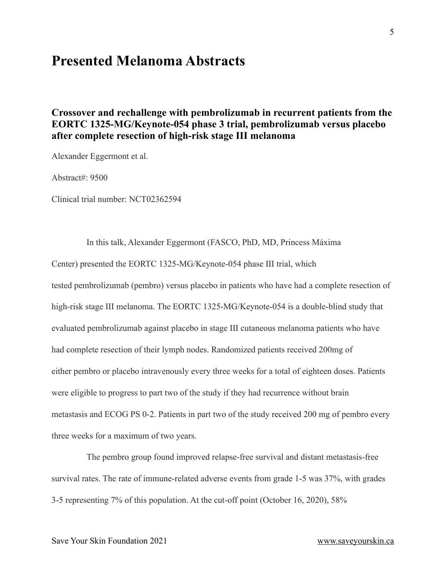## <span id="page-4-0"></span>**Presented Melanoma Abstracts**

### <span id="page-4-1"></span>**Crossover and rechallenge with pembrolizumab in recurrent patients from the EORTC 1325-MG/Keynote-054 phase 3 trial, pembrolizumab versus placebo after complete resection of high-risk stage III melanoma**

Alexander Eggermont et al.

Abstract#: 9500

Clinical trial number: NCT02362594

In this talk, Alexander Eggermont (FASCO, PhD, MD, Princess Máxima Center) presented the EORTC 1325-MG/Keynote-054 phase III trial, which tested pembrolizumab (pembro) versus placebo in patients who have had a complete resection of high-risk stage III melanoma. The EORTC 1325-MG/Keynote-054 is a double-blind study that evaluated pembrolizumab against placebo in stage III cutaneous melanoma patients who have had complete resection of their lymph nodes. Randomized patients received 200mg of either pembro or placebo intravenously every three weeks for a total of eighteen doses. Patients were eligible to progress to part two of the study if they had recurrence without brain metastasis and ECOG PS 0-2. Patients in part two of the study received 200 mg of pembro every three weeks for a maximum of two years.

The pembro group found improved relapse-free survival and distant metastasis-free survival rates. The rate of immune-related adverse events from grade 1-5 was 37%, with grades 3-5 representing 7% of this population. At the cut-off point (October 16, 2020), 58%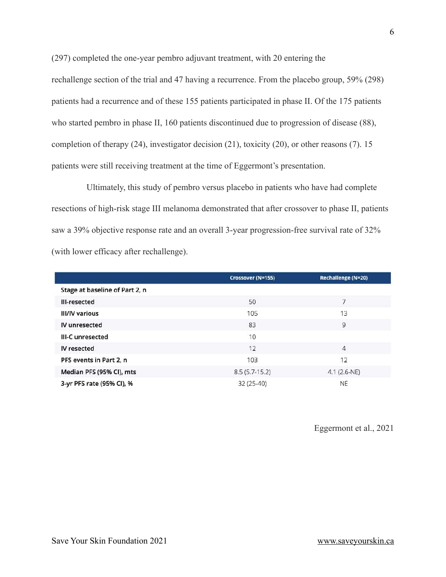(297) completed the one-year pembro adjuvant treatment, with 20 entering the rechallenge section of the trial and 47 having a recurrence. From the placebo group, 59% (298) patients had a recurrence and of these 155 patients participated in phase II. Of the 175 patients who started pembro in phase II, 160 patients discontinued due to progression of disease (88), completion of therapy (24), investigator decision (21), toxicity (20), or other reasons (7). 15 patients were still receiving treatment at the time of Eggermont's presentation.

Ultimately, this study of pembro versus placebo in patients who have had complete resections of high-risk stage III melanoma demonstrated that after crossover to phase II, patients saw a 39% objective response rate and an overall 3-year progression-free survival rate of 32% (with lower efficacy after rechallenge).

|                                | <b>Crossover (N=155)</b> | Rechallenge (N=20) |
|--------------------------------|--------------------------|--------------------|
| Stage at baseline of Part 2, n |                          |                    |
| III-resected                   | 50                       | 7                  |
| <b>III/IV various</b>          | 105                      | 13                 |
| IV unresected                  | 83                       | 9                  |
| III-C unresected               | 10                       |                    |
| IV resected                    | 12                       | $\overline{4}$     |
| PFS events in Part 2, n        | 103                      | 12                 |
| Median PFS (95% CI), mts       | $8.5(5.7-15.2)$          | $4.1 (2.6-NE)$     |
| 3-yr PFS rate (95% CI), %      | 32 (25-40)               | <b>NE</b>          |

Eggermont et al., 2021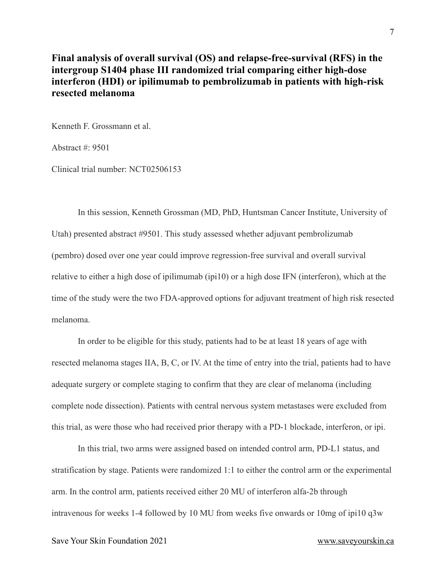#### <span id="page-6-0"></span>**Final analysis of overall survival (OS) and relapse-free-survival (RFS) in the intergroup S1404 phase III randomized trial comparing either high-dose interferon (HDI) or ipilimumab to pembrolizumab in patients with high-risk resected melanoma**

Kenneth F. Grossmann et al.

Abstract #: 9501

Clinical trial number: NCT02506153

In this session, Kenneth Grossman (MD, PhD, Huntsman Cancer Institute, University of Utah) presented abstract #9501. This study assessed whether adjuvant pembrolizumab (pembro) dosed over one year could improve regression-free survival and overall survival relative to either a high dose of ipilimumab (ipi10) or a high dose IFN (interferon), which at the time of the study were the two FDA-approved options for adjuvant treatment of high risk resected melanoma.

In order to be eligible for this study, patients had to be at least 18 years of age with resected melanoma stages IIA, B, C, or IV. At the time of entry into the trial, patients had to have adequate surgery or complete staging to confirm that they are clear of melanoma (including complete node dissection). Patients with central nervous system metastases were excluded from this trial, as were those who had received prior therapy with a PD-1 blockade, interferon, or ipi.

In this trial, two arms were assigned based on intended control arm, PD-L1 status, and stratification by stage. Patients were randomized 1:1 to either the control arm or the experimental arm. In the control arm, patients received either 20 MU of interferon alfa-2b through intravenous for weeks 1-4 followed by 10 MU from weeks five onwards or 10mg of ipi10 q3w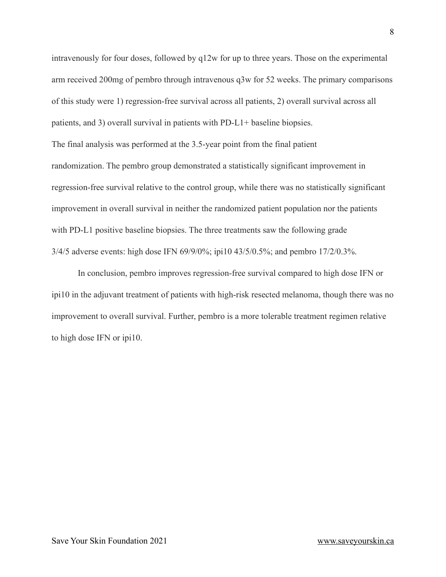intravenously for four doses, followed by q12w for up to three years. Those on the experimental arm received 200mg of pembro through intravenous q3w for 52 weeks. The primary comparisons of this study were 1) regression-free survival across all patients, 2) overall survival across all patients, and 3) overall survival in patients with PD-L1+ baseline biopsies. The final analysis was performed at the 3.5-year point from the final patient randomization. The pembro group demonstrated a statistically significant improvement in regression-free survival relative to the control group, while there was no statistically significant improvement in overall survival in neither the randomized patient population nor the patients with PD-L1 positive baseline biopsies. The three treatments saw the following grade 3/4/5 adverse events: high dose IFN 69/9/0%; ipi10 43/5/0.5%; and pembro 17/2/0.3%.

In conclusion, pembro improves regression-free survival compared to high dose IFN or ipi10 in the adjuvant treatment of patients with high-risk resected melanoma, though there was no improvement to overall survival. Further, pembro is a more tolerable treatment regimen relative to high dose IFN or ipi10.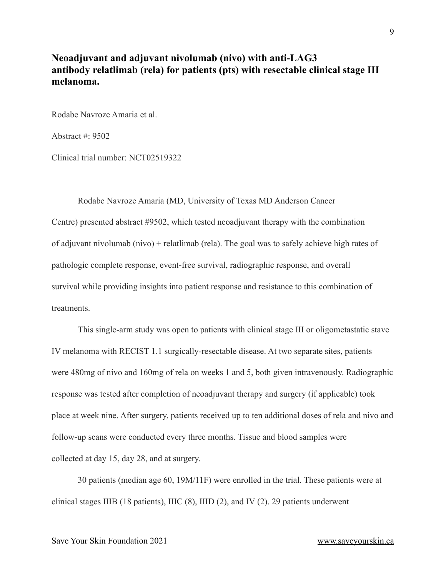#### <span id="page-8-0"></span>**Neoadjuvant and adjuvant nivolumab (nivo) with anti-LAG3 antibody relatlimab (rela) for patients (pts) with resectable clinical stage III melanoma.**

Rodabe Navroze Amaria et al.

Abstract #: 9502

Clinical trial number: NCT02519322

Rodabe Navroze Amaria (MD, University of Texas MD Anderson Cancer

Centre) presented abstract #9502, which tested neoadjuvant therapy with the combination of adjuvant nivolumab (nivo) + relatlimab (rela). The goal was to safely achieve high rates of pathologic complete response, event-free survival, radiographic response, and overall survival while providing insights into patient response and resistance to this combination of **treatments** 

This single-arm study was open to patients with clinical stage III or oligometastatic stave IV melanoma with RECIST 1.1 surgically-resectable disease. At two separate sites, patients were 480mg of nivo and 160mg of rela on weeks 1 and 5, both given intravenously. Radiographic response was tested after completion of neoadjuvant therapy and surgery (if applicable) took place at week nine. After surgery, patients received up to ten additional doses of rela and nivo and follow-up scans were conducted every three months. Tissue and blood samples were collected at day 15, day 28, and at surgery.

30 patients (median age 60, 19M/11F) were enrolled in the trial. These patients were at clinical stages IIIB (18 patients), IIIC (8), IIID (2), and IV (2). 29 patients underwent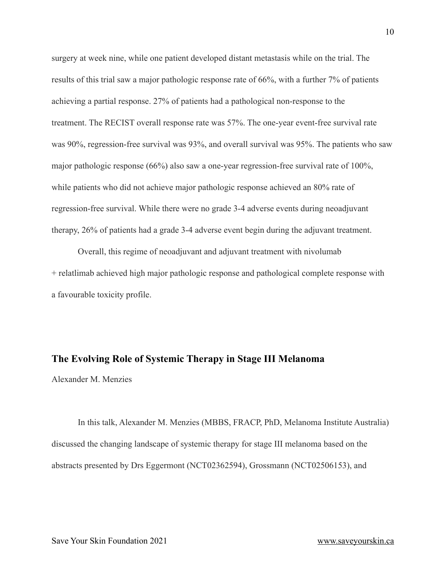surgery at week nine, while one patient developed distant metastasis while on the trial. The results of this trial saw a major pathologic response rate of 66%, with a further 7% of patients achieving a partial response. 27% of patients had a pathological non-response to the treatment. The RECIST overall response rate was 57%. The one-year event-free survival rate was 90%, regression-free survival was 93%, and overall survival was 95%. The patients who saw major pathologic response (66%) also saw a one-year regression-free survival rate of 100%, while patients who did not achieve major pathologic response achieved an 80% rate of regression-free survival. While there were no grade 3-4 adverse events during neoadjuvant therapy, 26% of patients had a grade 3-4 adverse event begin during the adjuvant treatment.

Overall, this regime of neoadjuvant and adjuvant treatment with nivolumab + relatlimab achieved high major pathologic response and pathological complete response with a favourable toxicity profile.

### <span id="page-9-0"></span>**The Evolving Role of Systemic Therapy in Stage III Melanoma**

Alexander M. Menzies

In this talk, Alexander M. Menzies (MBBS, FRACP, PhD, Melanoma Institute Australia) discussed the changing landscape of systemic therapy for stage III melanoma based on the abstracts presented by Drs Eggermont (NCT02362594), Grossmann (NCT02506153), and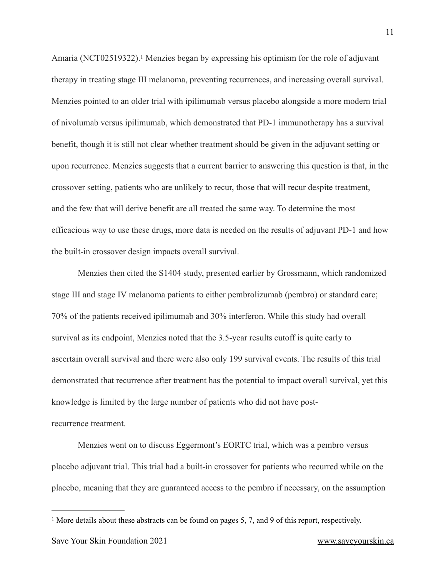<span id="page-10-1"></span>Amaria(NCT025[1](#page-10-0)9322).<sup>1</sup> Menzies began by expressing his optimism for the role of adjuvant therapy in treating stage III melanoma, preventing recurrences, and increasing overall survival. Menzies pointed to an older trial with ipilimumab versus placebo alongside a more modern trial of nivolumab versus ipilimumab, which demonstrated that PD-1 immunotherapy has a survival benefit, though it is still not clear whether treatment should be given in the adjuvant setting or upon recurrence. Menzies suggests that a current barrier to answering this question is that, in the crossover setting, patients who are unlikely to recur, those that will recur despite treatment, and the few that will derive benefit are all treated the same way. To determine the most efficacious way to use these drugs, more data is needed on the results of adjuvant PD-1 and how the built-in crossover design impacts overall survival.

Menzies then cited the S1404 study, presented earlier by Grossmann, which randomized stage III and stage IV melanoma patients to either pembrolizumab (pembro) or standard care; 70% of the patients received ipilimumab and 30% interferon. While this study had overall survival as its endpoint, Menzies noted that the 3.5-year results cutoff is quite early to ascertain overall survival and there were also only 199 survival events. The results of this trial demonstrated that recurrence after treatment has the potential to impact overall survival, yet this knowledge is limited by the large number of patients who did not have postrecurrence treatment.

Menzies went on to discuss Eggermont's EORTC trial, which was a pembro versus placebo adjuvant trial. This trial had a built-in crossover for patients who recurred while on the placebo, meaning that they are guaranteed access to the pembro if necessary, on the assumption

<span id="page-10-0"></span><sup>&</sup>lt;sup>[1](#page-10-1)</sup> More details about these abstracts can be found on pages 5, 7, and 9 of this report, respectively.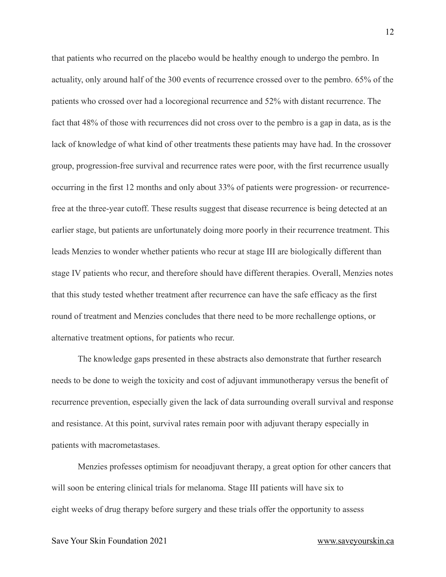that patients who recurred on the placebo would be healthy enough to undergo the pembro. In actuality, only around half of the 300 events of recurrence crossed over to the pembro. 65% of the patients who crossed over had a locoregional recurrence and 52% with distant recurrence. The fact that 48% of those with recurrences did not cross over to the pembro is a gap in data, as is the lack of knowledge of what kind of other treatments these patients may have had. In the crossover group, progression-free survival and recurrence rates were poor, with the first recurrence usually occurring in the first 12 months and only about 33% of patients were progression- or recurrencefree at the three-year cutoff. These results suggest that disease recurrence is being detected at an earlier stage, but patients are unfortunately doing more poorly in their recurrence treatment. This leads Menzies to wonder whether patients who recur at stage III are biologically different than stage IV patients who recur, and therefore should have different therapies. Overall, Menzies notes that this study tested whether treatment after recurrence can have the safe efficacy as the first round of treatment and Menzies concludes that there need to be more rechallenge options, or alternative treatment options, for patients who recur.

The knowledge gaps presented in these abstracts also demonstrate that further research needs to be done to weigh the toxicity and cost of adjuvant immunotherapy versus the benefit of recurrence prevention, especially given the lack of data surrounding overall survival and response and resistance. At this point, survival rates remain poor with adjuvant therapy especially in patients with macrometastases.

Menzies professes optimism for neoadjuvant therapy, a great option for other cancers that will soon be entering clinical trials for melanoma. Stage III patients will have six to eight weeks of drug therapy before surgery and these trials offer the opportunity to assess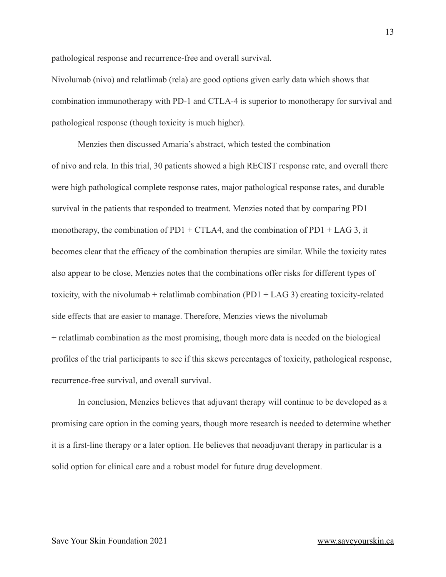pathological response and recurrence-free and overall survival.

Nivolumab (nivo) and relatlimab (rela) are good options given early data which shows that combination immunotherapy with PD-1 and CTLA-4 is superior to monotherapy for survival and pathological response (though toxicity is much higher).

Menzies then discussed Amaria's abstract, which tested the combination of nivo and rela. In this trial, 30 patients showed a high RECIST response rate, and overall there were high pathological complete response rates, major pathological response rates, and durable survival in the patients that responded to treatment. Menzies noted that by comparing PD1 monotherapy, the combination of PD1 + CTLA4, and the combination of PD1 + LAG 3, it becomes clear that the efficacy of the combination therapies are similar. While the toxicity rates also appear to be close, Menzies notes that the combinations offer risks for different types of toxicity, with the nivolumab + relatlimab combination  $(PD1 + LAG 3)$  creating toxicity-related side effects that are easier to manage. Therefore, Menzies views the nivolumab + relatlimab combination as the most promising, though more data is needed on the biological profiles of the trial participants to see if this skews percentages of toxicity, pathological response, recurrence-free survival, and overall survival.

In conclusion, Menzies believes that adjuvant therapy will continue to be developed as a promising care option in the coming years, though more research is needed to determine whether it is a first-line therapy or a later option. He believes that neoadjuvant therapy in particular is a solid option for clinical care and a robust model for future drug development.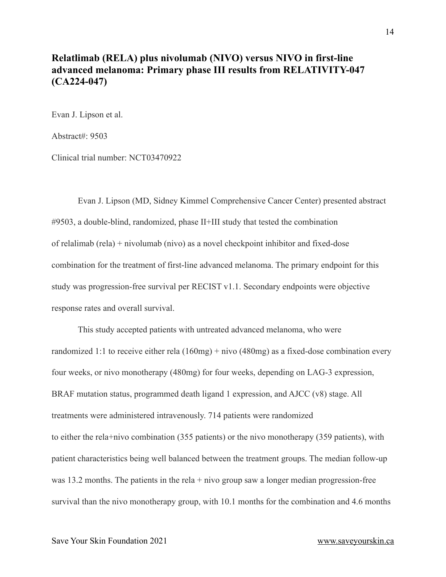#### <span id="page-13-0"></span>**Relatlimab (RELA) plus nivolumab (NIVO) versus NIVO in first-line advanced melanoma: Primary phase III results from RELATIVITY-047 (CA224-047)**

Evan J. Lipson et al.

Abstract#: 9503

Clinical trial number: NCT03470922

Evan J. Lipson (MD, Sidney Kimmel Comprehensive Cancer Center) presented abstract #9503, a double-blind, randomized, phase II+III study that tested the combination of relalimab (rela) + nivolumab (nivo) as a novel checkpoint inhibitor and fixed-dose combination for the treatment of first-line advanced melanoma. The primary endpoint for this study was progression-free survival per RECIST v1.1. Secondary endpoints were objective response rates and overall survival.

This study accepted patients with untreated advanced melanoma, who were randomized 1:1 to receive either rela (160mg) + nivo (480mg) as a fixed-dose combination every four weeks, or nivo monotherapy (480mg) for four weeks, depending on LAG-3 expression, BRAF mutation status, programmed death ligand 1 expression, and AJCC (v8) stage. All treatments were administered intravenously. 714 patients were randomized to either the rela+nivo combination (355 patients) or the nivo monotherapy (359 patients), with patient characteristics being well balanced between the treatment groups. The median follow-up was 13.2 months. The patients in the rela + nivo group saw a longer median progression-free survival than the nivo monotherapy group, with 10.1 months for the combination and 4.6 months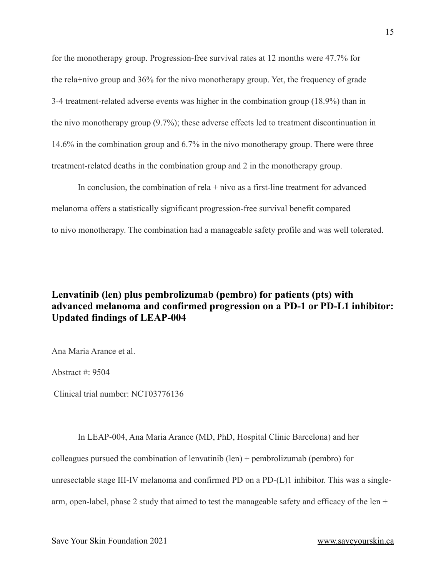for the monotherapy group. Progression-free survival rates at 12 months were 47.7% for the rela+nivo group and 36% for the nivo monotherapy group. Yet, the frequency of grade 3-4 treatment-related adverse events was higher in the combination group (18.9%) than in the nivo monotherapy group (9.7%); these adverse effects led to treatment discontinuation in 14.6% in the combination group and 6.7% in the nivo monotherapy group. There were three treatment-related deaths in the combination group and 2 in the monotherapy group.

In conclusion, the combination of rela  $+$  nivo as a first-line treatment for advanced melanoma offers a statistically significant progression-free survival benefit compared to nivo monotherapy. The combination had a manageable safety profile and was well tolerated.

#### <span id="page-14-0"></span>**Lenvatinib (len) plus pembrolizumab (pembro) for patients (pts) with advanced melanoma and confirmed progression on a PD-1 or PD-L1 inhibitor: Updated findings of LEAP-004**

Ana Maria Arance et al.

Abstract #: 9504

Clinical trial number: NCT03776136

In LEAP-004, Ana Maria Arance (MD, PhD, Hospital Clinic Barcelona) and her colleagues pursued the combination of lenvatinib (len) + pembrolizumab (pembro) for unresectable stage III-IV melanoma and confirmed PD on a PD-(L)1 inhibitor. This was a singlearm, open-label, phase 2 study that aimed to test the manageable safety and efficacy of the len +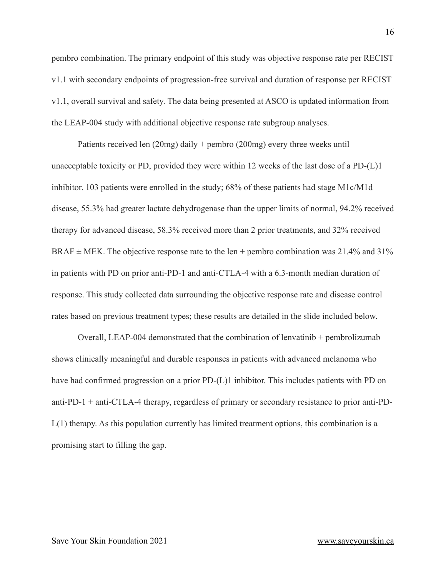pembro combination. The primary endpoint of this study was objective response rate per RECIST v1.1 with secondary endpoints of progression-free survival and duration of response per RECIST v1.1, overall survival and safety. The data being presented at ASCO is updated information from the LEAP-004 study with additional objective response rate subgroup analyses.

Patients received len (20mg) daily + pembro (200mg) every three weeks until unacceptable toxicity or PD, provided they were within 12 weeks of the last dose of a PD-(L)1 inhibitor. 103 patients were enrolled in the study; 68% of these patients had stage M1c/M1d disease, 55.3% had greater lactate dehydrogenase than the upper limits of normal, 94.2% received therapy for advanced disease, 58.3% received more than 2 prior treatments, and 32% received BRAF  $\pm$  MEK. The objective response rate to the len + pembro combination was 21.4% and 31% in patients with PD on prior anti-PD-1 and anti-CTLA-4 with a 6.3-month median duration of response. This study collected data surrounding the objective response rate and disease control rates based on previous treatment types; these results are detailed in the slide included below.

Overall, LEAP-004 demonstrated that the combination of lenvatinib + pembrolizumab shows clinically meaningful and durable responses in patients with advanced melanoma who have had confirmed progression on a prior PD-(L)1 inhibitor. This includes patients with PD on anti-PD-1 + anti-CTLA-4 therapy, regardless of primary or secondary resistance to prior anti-PD-L(1) therapy. As this population currently has limited treatment options, this combination is a promising start to filling the gap.

16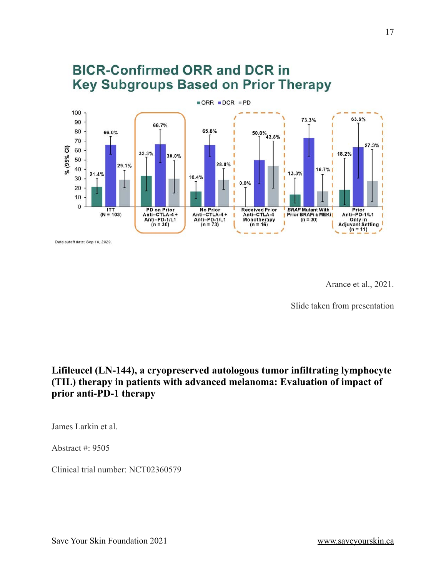

Data cutoff date: Sep 18, 2020.

Arance et al., 2021.

Slide taken from presentation

### <span id="page-16-0"></span>**Lifileucel (LN-144), a cryopreserved autologous tumor infiltrating lymphocyte (TIL) therapy in patients with advanced melanoma: Evaluation of impact of prior anti-PD-1 therapy**

James Larkin et al.

Abstract #: 9505

Clinical trial number: NCT02360579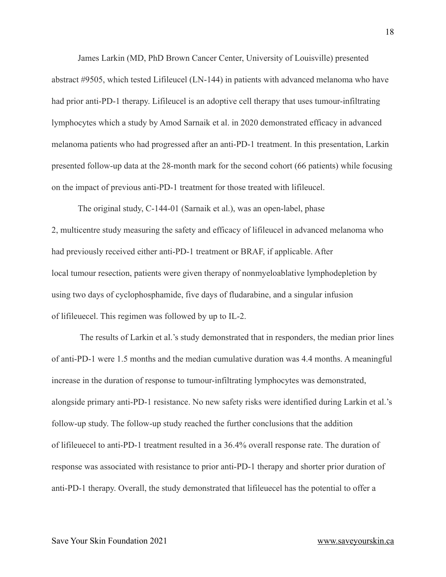James Larkin (MD, PhD Brown Cancer Center, University of Louisville) presented abstract #9505, which tested Lifileucel (LN-144) in patients with advanced melanoma who have had prior anti-PD-1 therapy. Lifileucel is an adoptive cell therapy that uses tumour-infiltrating lymphocytes which a study by Amod Sarnaik et al. in 2020 demonstrated efficacy in advanced melanoma patients who had progressed after an anti-PD-1 treatment. In this presentation, Larkin presented follow-up data at the 28-month mark for the second cohort (66 patients) while focusing on the impact of previous anti-PD-1 treatment for those treated with lifileucel.

The original study, C-144-01 (Sarnaik et al.), was an open-label, phase 2, multicentre study measuring the safety and efficacy of lifileucel in advanced melanoma who had previously received either anti-PD-1 treatment or BRAF, if applicable. After local tumour resection, patients were given therapy of nonmyeloablative lymphodepletion by using two days of cyclophosphamide, five days of fludarabine, and a singular infusion of lifileuecel. This regimen was followed by up to IL-2.

 The results of Larkin et al.'s study demonstrated that in responders, the median prior lines of anti-PD-1 were 1.5 months and the median cumulative duration was 4.4 months. A meaningful increase in the duration of response to tumour-infiltrating lymphocytes was demonstrated, alongside primary anti-PD-1 resistance. No new safety risks were identified during Larkin et al.'s follow-up study. The follow-up study reached the further conclusions that the addition of lifileuecel to anti-PD-1 treatment resulted in a 36.4% overall response rate. The duration of response was associated with resistance to prior anti-PD-1 therapy and shorter prior duration of anti-PD-1 therapy. Overall, the study demonstrated that lifileuecel has the potential to offer a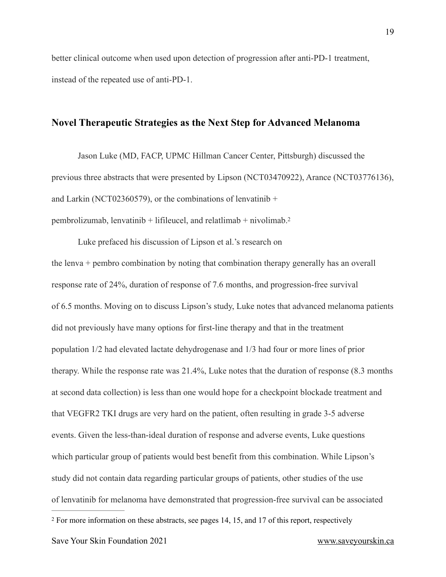better clinical outcome when used upon detection of progression after anti-PD-1 treatment, instead of the repeated use of anti-PD-1.

#### <span id="page-18-0"></span>**Novel Therapeutic Strategies as the Next Step for Advanced Melanoma**

Jason Luke (MD, FACP, UPMC Hillman Cancer Center, Pittsburgh) discussed the previous three abstracts that were presented by Lipson (NCT03470922), Arance (NCT03776136), and Larkin (NCT02360579), or the combinations of lenvatinib  $+$ pembrolizumab, lenvatinib + lifileucel, and relatlimab + nivolimab[. 2](#page-18-1)

<span id="page-18-2"></span><span id="page-18-1"></span>Luke prefaced his discussion of Lipson et al.'s research on the lenva + pembro combination by noting that combination therapy generally has an overall response rate of 24%, duration of response of 7.6 months, and progression-free survival of 6.5 months. Moving on to discuss Lipson's study, Luke notes that advanced melanoma patients did not previously have many options for first-line therapy and that in the treatment population 1/2 had elevated lactate dehydrogenase and 1/3 had four or more lines of prior therapy. While the response rate was 21.4%, Luke notes that the duration of response (8.3 months at second data collection) is less than one would hope for a checkpoint blockade treatment and that VEGFR2 TKI drugs are very hard on the patient, often resulting in grade 3-5 adverse events. Given the less-than-ideal duration of response and adverse events, Luke questions which particular group of patients would best benefit from this combination. While Lipson's study did not contain data regarding particular groups of patients, other studies of the use of lenvatinib for melanoma have demonstrated that progression-free survival can be associated [2](#page-18-2) For more information on these abstracts, see pages 14, 15, and 17 of this report, respectively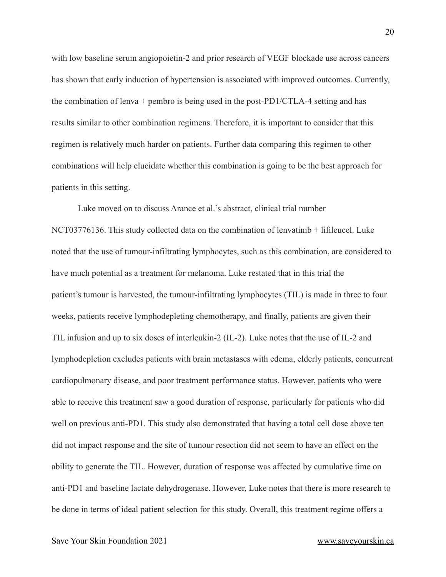with low baseline serum angiopoietin-2 and prior research of VEGF blockade use across cancers has shown that early induction of hypertension is associated with improved outcomes. Currently, the combination of lenva + pembro is being used in the post-PD1/CTLA-4 setting and has results similar to other combination regimens. Therefore, it is important to consider that this regimen is relatively much harder on patients. Further data comparing this regimen to other combinations will help elucidate whether this combination is going to be the best approach for patients in this setting.

Luke moved on to discuss Arance et al.'s abstract, clinical trial number NCT03776136. This study collected data on the combination of lenvatinib + lifileucel. Luke noted that the use of tumour-infiltrating lymphocytes, such as this combination, are considered to have much potential as a treatment for melanoma. Luke restated that in this trial the patient's tumour is harvested, the tumour-infiltrating lymphocytes (TIL) is made in three to four weeks, patients receive lymphodepleting chemotherapy, and finally, patients are given their TIL infusion and up to six doses of interleukin-2 (IL-2). Luke notes that the use of IL-2 and lymphodepletion excludes patients with brain metastases with edema, elderly patients, concurrent cardiopulmonary disease, and poor treatment performance status. However, patients who were able to receive this treatment saw a good duration of response, particularly for patients who did well on previous anti-PD1. This study also demonstrated that having a total cell dose above ten did not impact response and the site of tumour resection did not seem to have an effect on the ability to generate the TIL. However, duration of response was affected by cumulative time on anti-PD1 and baseline lactate dehydrogenase. However, Luke notes that there is more research to be done in terms of ideal patient selection for this study. Overall, this treatment regime offers a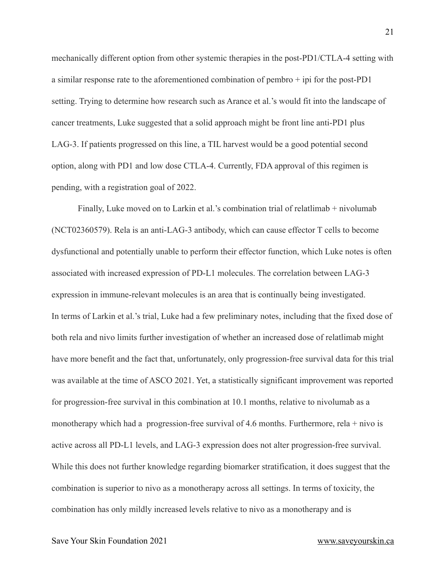mechanically different option from other systemic therapies in the post-PD1/CTLA-4 setting with a similar response rate to the aforementioned combination of pembro + ipi for the post-PD1 setting. Trying to determine how research such as Arance et al.'s would fit into the landscape of cancer treatments, Luke suggested that a solid approach might be front line anti-PD1 plus LAG-3. If patients progressed on this line, a TIL harvest would be a good potential second option, along with PD1 and low dose CTLA-4. Currently, FDA approval of this regimen is pending, with a registration goal of 2022.

Finally, Luke moved on to Larkin et al.'s combination trial of relatlimab + nivolumab (NCT02360579). Rela is an anti-LAG-3 antibody, which can cause effector T cells to become dysfunctional and potentially unable to perform their effector function, which Luke notes is often associated with increased expression of PD-L1 molecules. The correlation between LAG-3 expression in immune-relevant molecules is an area that is continually being investigated. In terms of Larkin et al.'s trial, Luke had a few preliminary notes, including that the fixed dose of both rela and nivo limits further investigation of whether an increased dose of relatlimab might have more benefit and the fact that, unfortunately, only progression-free survival data for this trial was available at the time of ASCO 2021. Yet, a statistically significant improvement was reported for progression-free survival in this combination at 10.1 months, relative to nivolumab as a monotherapy which had a progression-free survival of 4.6 months. Furthermore, rela + nivo is active across all PD-L1 levels, and LAG-3 expression does not alter progression-free survival. While this does not further knowledge regarding biomarker stratification, it does suggest that the combination is superior to nivo as a monotherapy across all settings. In terms of toxicity, the combination has only mildly increased levels relative to nivo as a monotherapy and is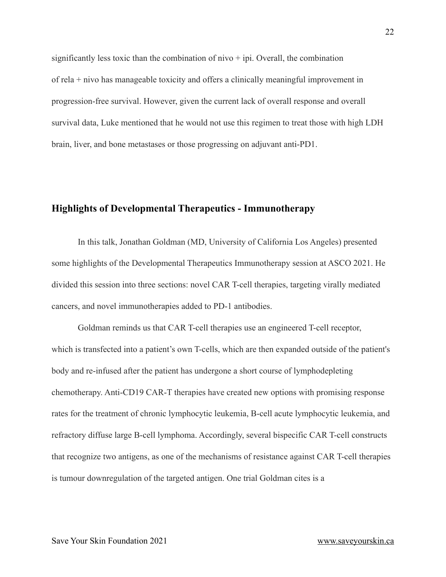significantly less toxic than the combination of  $nivo + ipi$ . Overall, the combination of rela + nivo has manageable toxicity and offers a clinically meaningful improvement in progression-free survival. However, given the current lack of overall response and overall survival data, Luke mentioned that he would not use this regimen to treat those with high LDH brain, liver, and bone metastases or those progressing on adjuvant anti-PD1.

#### <span id="page-21-0"></span>**Highlights of Developmental Therapeutics - Immunotherapy**

In this talk, Jonathan Goldman (MD, University of California Los Angeles) presented some highlights of the Developmental Therapeutics Immunotherapy session at ASCO 2021. He divided this session into three sections: novel CAR T-cell therapies, targeting virally mediated cancers, and novel immunotherapies added to PD-1 antibodies.

Goldman reminds us that CAR T-cell therapies use an engineered T-cell receptor, which is transfected into a patient's own T-cells, which are then expanded outside of the patient's body and re-infused after the patient has undergone a short course of lymphodepleting chemotherapy. Anti-CD19 CAR-T therapies have created new options with promising response rates for the treatment of chronic lymphocytic leukemia, B-cell acute lymphocytic leukemia, and refractory diffuse large B-cell lymphoma. Accordingly, several bispecific CAR T-cell constructs that recognize two antigens, as one of the mechanisms of resistance against CAR T-cell therapies is tumour downregulation of the targeted antigen. One trial Goldman cites is a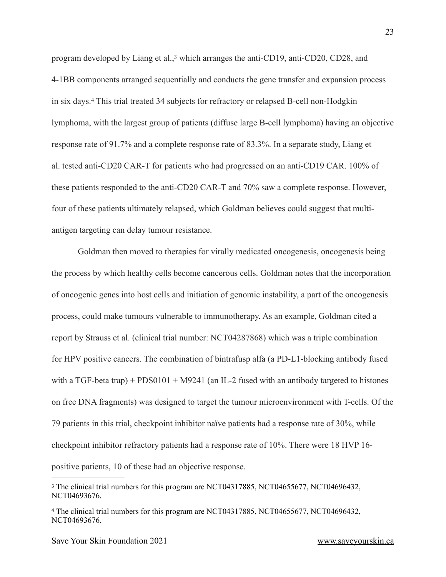<span id="page-22-3"></span><span id="page-22-2"></span>program developed by Liang et al.[,](#page-22-0)<sup>[3](#page-22-0)</sup> which arranges the anti-CD19, anti-CD20, CD28, and 4-1BB components arranged sequentially and conducts the gene transfer and expansion process in six days[.](#page-22-1)<sup>[4](#page-22-1)</sup> This trial treated 34 subjects for refractory or relapsed B-cell non-Hodgkin lymphoma, with the largest group of patients (diffuse large B-cell lymphoma) having an objective response rate of 91.7% and a complete response rate of 83.3%. In a separate study, Liang et al. tested anti-CD20 CAR-T for patients who had progressed on an anti-CD19 CAR. 100% of these patients responded to the anti-CD20 CAR-T and 70% saw a complete response. However, four of these patients ultimately relapsed, which Goldman believes could suggest that multiantigen targeting can delay tumour resistance.

Goldman then moved to therapies for virally medicated oncogenesis, oncogenesis being the process by which healthy cells become cancerous cells. Goldman notes that the incorporation of oncogenic genes into host cells and initiation of genomic instability, a part of the oncogenesis process, could make tumours vulnerable to immunotherapy. As an example, Goldman cited a report by Strauss et al. (clinical trial number: NCT04287868) which was a triple combination for HPV positive cancers. The combination of bintrafusp alfa (a PD-L1-blocking antibody fused with a TGF-beta trap) + PDS0101 + M9241 (an IL-2 fused with an antibody targeted to histones on free DNA fragments) was designed to target the tumour microenvironment with T-cells. Of the 79 patients in this trial, checkpoint inhibitor naïve patients had a response rate of 30%, while checkpoint inhibitor refractory patients had a response rate of 10%. There were 18 HVP 16 positive patients, 10 of these had an objective response.

<span id="page-22-0"></span><sup>&</sup>lt;sup>3</sup>The clinical trial numbers for this program are NCT04[3](#page-22-2)17885, NCT04655677, NCT04696432, NCT04693676.

<span id="page-22-1"></span><sup>&</sup>lt;sup>4</sup>The clinical trial numbers for this program are NCT0[4](#page-22-3)317885, NCT04655677, NCT04696432, NCT04693676.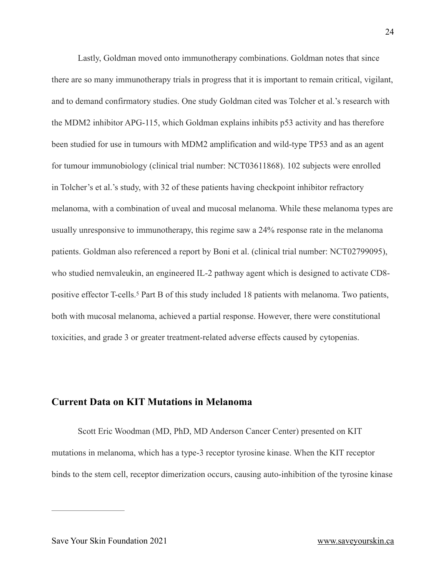Lastly, Goldman moved onto immunotherapy combinations. Goldman notes that since there are so many immunotherapy trials in progress that it is important to remain critical, vigilant, and to demand confirmatory studies. One study Goldman cited was Tolcher et al.'s research with the MDM2 inhibitor APG-115, which Goldman explains inhibits p53 activity and has therefore been studied for use in tumours with MDM2 amplification and wild-type TP53 and as an agent for tumour immunobiology (clinical trial number: NCT03611868). 102 subjects were enrolled in Tolcher's et al.'s study, with 32 of these patients having checkpoint inhibitor refractory melanoma, with a combination of uveal and mucosal melanoma. While these melanoma types are usually unresponsive to immunotherapy, this regime saw a 24% response rate in the melanoma patients. Goldman also referenced a report by Boni et al. (clinical trial number: NCT02799095), who studied nemvaleukin, an engineered IL-2 pathway agent which is designed to activate CD8 positive effector T-cells.<sup>5</sup> Part B of this study included 18 patients with melanoma. Two patients, both with mucosal melanoma, achieved a partial response. However, there were constitutional toxicities, and grade 3 or greater treatment-related adverse effects caused by cytopenias.

#### <span id="page-23-0"></span>**Current Data on KIT Mutations in Melanoma**

Scott Eric Woodman (MD, PhD, MD Anderson Cancer Center) presented on KIT mutations in melanoma, which has a type-3 receptor tyrosine kinase. When the KIT receptor binds to the stem cell, receptor dimerization occurs, causing auto-inhibition of the tyrosine kinase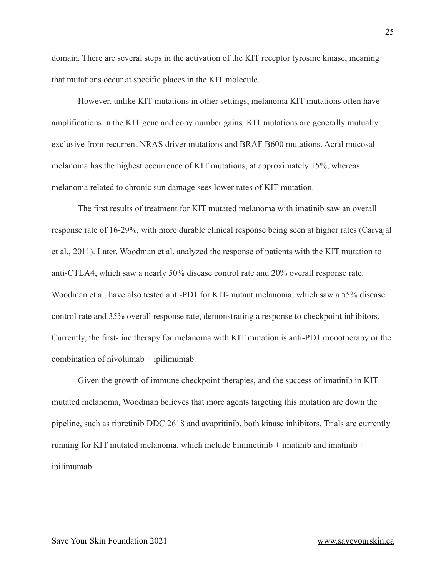domain. There are several steps in the activation of the KIT receptor tyrosine kinase, meaning that mutations occur at specific places in the KIT molecule.

However, unlike KIT mutations in other settings, melanoma KIT mutations often have amplifications in the KIT gene and copy number gains. KIT mutations are generally mutually exclusive from recurrent NRAS driver mutations and BRAF B600 mutations. Acral mucosal melanoma has the highest occurrence of KIT mutations, at approximately 15%, whereas melanoma related to chronic sun damage sees lower rates of KIT mutation.

The first results of treatment for KIT mutated melanoma with imatinib saw an overall response rate of 16-29%, with more durable clinical response being seen at higher rates (Carvajal et al., 2011). Later, Woodman et al. analyzed the response of patients with the KIT mutation to anti-CTLA4, which saw a nearly 50% disease control rate and 20% overall response rate. Woodman et al. have also tested anti-PD1 for KIT-mutant melanoma, which saw a 55% disease control rate and 35% overall response rate, demonstrating a response to checkpoint inhibitors. Currently, the first-line therapy for melanoma with KIT mutation is anti-PD1 monotherapy or the combination of nivolumab + ipilimumab.

Given the growth of immune checkpoint therapies, and the success of imatinib in KIT mutated melanoma, Woodman believes that more agents targeting this mutation are down the pipeline, such as ripretinib DDC 2618 and avapritinib, both kinase inhibitors. Trials are currently running for KIT mutated melanoma, which include binimetinib  $+$  imatinib and imatinib  $+$ ipilimumab.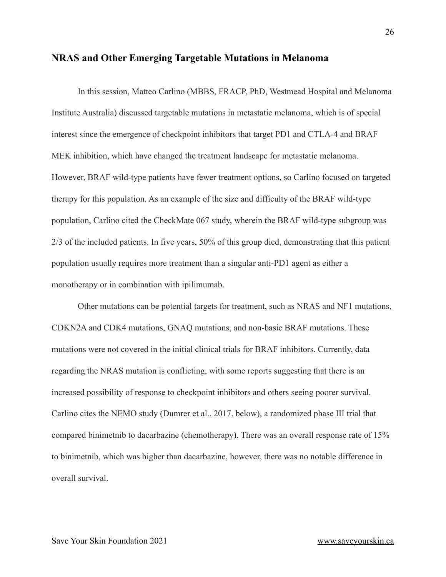#### <span id="page-25-0"></span>**NRAS and Other Emerging Targetable Mutations in Melanoma**

In this session, Matteo Carlino (MBBS, FRACP, PhD, Westmead Hospital and Melanoma Institute Australia) discussed targetable mutations in metastatic melanoma, which is of special interest since the emergence of checkpoint inhibitors that target PD1 and CTLA-4 and BRAF MEK inhibition, which have changed the treatment landscape for metastatic melanoma. However, BRAF wild-type patients have fewer treatment options, so Carlino focused on targeted therapy for this population. As an example of the size and difficulty of the BRAF wild-type population, Carlino cited the CheckMate 067 study, wherein the BRAF wild-type subgroup was 2/3 of the included patients. In five years, 50% of this group died, demonstrating that this patient population usually requires more treatment than a singular anti-PD1 agent as either a monotherapy or in combination with ipilimumab.

Other mutations can be potential targets for treatment, such as NRAS and NF1 mutations, CDKN2A and CDK4 mutations, GNAQ mutations, and non-basic BRAF mutations. These mutations were not covered in the initial clinical trials for BRAF inhibitors. Currently, data regarding the NRAS mutation is conflicting, with some reports suggesting that there is an increased possibility of response to checkpoint inhibitors and others seeing poorer survival. Carlino cites the NEMO study (Dumrer et al., 2017, below), a randomized phase III trial that compared binimetnib to dacarbazine (chemotherapy). There was an overall response rate of 15% to binimetnib, which was higher than dacarbazine, however, there was no notable difference in overall survival.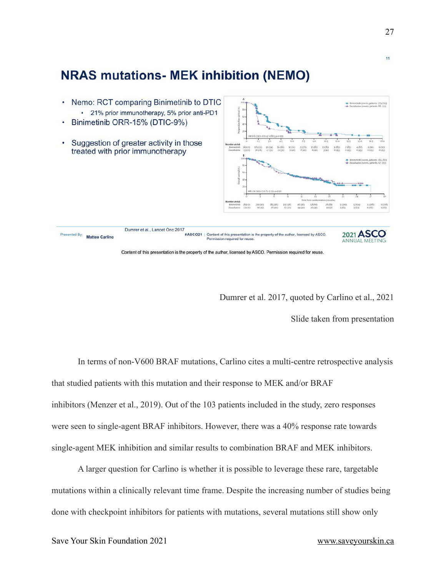

### Dumrer et al. 2017, quoted by Carlino et al., 2021

Slide taken from presentation

In terms of non-V600 BRAF mutations, Carlino cites a multi-centre retrospective analysis that studied patients with this mutation and their response to MEK and/or BRAF inhibitors (Menzer et al., 2019). Out of the 103 patients included in the study, zero responses were seen to single-agent BRAF inhibitors. However, there was a 40% response rate towards single-agent MEK inhibition and similar results to combination BRAF and MEK inhibitors.

A larger question for Carlino is whether it is possible to leverage these rare, targetable mutations within a clinically relevant time frame. Despite the increasing number of studies being done with checkpoint inhibitors for patients with mutations, several mutations still show only

11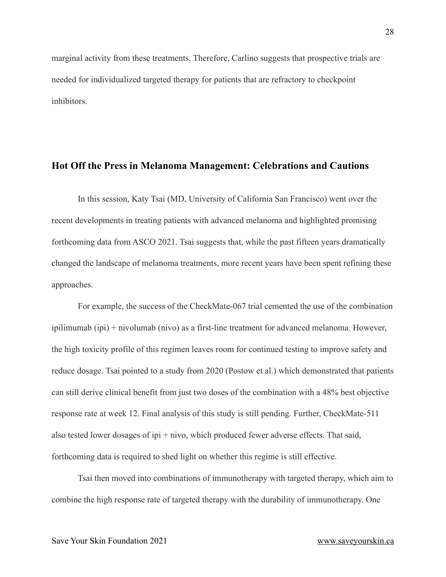marginal activity from these treatments. Therefore, Carlino suggests that prospective trials are needed for individualized targeted therapy for patients that are refractory to checkpoint inhibitors.

#### <span id="page-27-0"></span>**Hot Off the Press in Melanoma Management: Celebrations and Cautions**

In this session, Katy Tsai (MD, University of California San Francisco) went over the recent developments in treating patients with advanced melanoma and highlighted promising forthcoming data from ASCO 2021. Tsai suggests that, while the past fifteen years dramatically changed the landscape of melanoma treatments, more recent years have been spent refining these approaches.

For example, the success of the CheckMate-067 trial cemented the use of the combination ipilimumab (ipi) + nivolumab (nivo) as a first-line treatment for advanced melanoma. However, the high toxicity profile of this regimen leaves room for continued testing to improve safety and reduce dosage. Tsai pointed to a study from 2020 (Postow et al.) which demonstrated that patients can still derive clinical benefit from just two doses of the combination with a 48% best objective response rate at week 12. Final analysis of this study is still pending. Further, CheckMate-511 also tested lower dosages of ipi + nivo, which produced fewer adverse effects. That said, forthcoming data is required to shed light on whether this regime is still effective.

Tsai then moved into combinations of immunotherapy with targeted therapy, which aim to combine the high response rate of targeted therapy with the durability of immunotherapy. One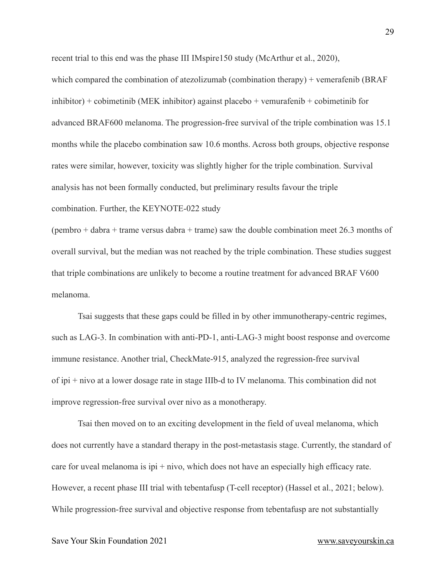recent trial to this end was the phase III IMspire150 study (McArthur et al., 2020),

which compared the combination of atezolizumab (combination therapy) + vemerafenib (BRAF inhibitor) + cobimetinib (MEK inhibitor) against placebo + vemurafenib + cobimetinib for advanced BRAF600 melanoma. The progression-free survival of the triple combination was 15.1 months while the placebo combination saw 10.6 months. Across both groups, objective response rates were similar, however, toxicity was slightly higher for the triple combination. Survival analysis has not been formally conducted, but preliminary results favour the triple combination. Further, the KEYNOTE-022 study

(pembro + dabra + trame versus dabra + trame) saw the double combination meet 26.3 months of overall survival, but the median was not reached by the triple combination. These studies suggest that triple combinations are unlikely to become a routine treatment for advanced BRAF V600 melanoma.

Tsai suggests that these gaps could be filled in by other immunotherapy-centric regimes, such as LAG-3. In combination with anti-PD-1, anti-LAG-3 might boost response and overcome immune resistance. Another trial, CheckMate-915, analyzed the regression-free survival of ipi + nivo at a lower dosage rate in stage IIIb-d to IV melanoma. This combination did not improve regression-free survival over nivo as a monotherapy.

Tsai then moved on to an exciting development in the field of uveal melanoma, which does not currently have a standard therapy in the post-metastasis stage. Currently, the standard of care for uveal melanoma is  $ipi + nivo$ , which does not have an especially high efficacy rate. However, a recent phase III trial with tebentafusp (T-cell receptor) (Hassel et al., 2021; below). While progression-free survival and objective response from tebentafusp are not substantially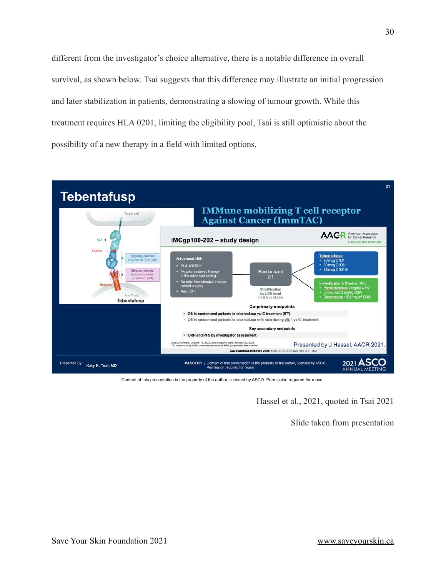different from the investigator's choice alternative, there is a notable difference in overall survival, as shown below. Tsai suggests that this difference may illustrate an initial progression and later stabilization in patients, demonstrating a slowing of tumour growth. While this treatment requires HLA 0201, limiting the eligibility pool, Tsai is still optimistic about the possibility of a new therapy in a field with limited options.



Content of this presentation is the property of the author, licensed by ASCO. Permission required for reuse.

Hassel et al., 2021, quoted in Tsai 2021

Slide taken from presentation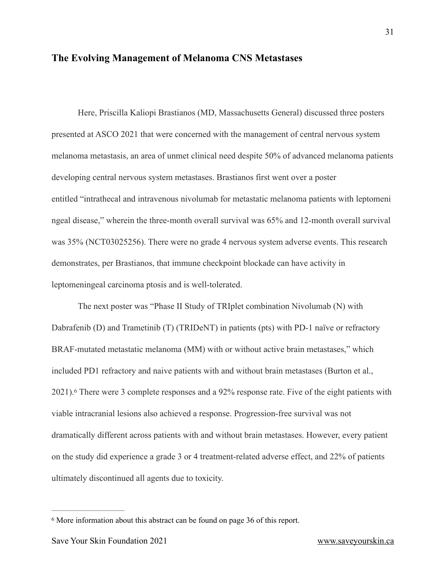#### <span id="page-30-0"></span>**The Evolving Management of Melanoma CNS Metastases**

Here, Priscilla Kaliopi Brastianos (MD, Massachusetts General) discussed three posters presented at ASCO 2021 that were concerned with the management of central nervous system melanoma metastasis, an area of unmet clinical need despite 50% of advanced melanoma patients developing central nervous system metastases. Brastianos first went over a poster entitled "intrathecal and intravenous nivolumab for metastatic melanoma patients with leptomeni ngeal disease," wherein the three-month overall survival was 65% and 12-month overall survival was 35% (NCT03025256). There were no grade 4 nervous system adverse events. This research demonstrates, per Brastianos, that immune checkpoint blockade can have activity in leptomeningeal carcinoma ptosis and is well-tolerated.

<span id="page-30-2"></span>The next poster was "Phase II Study of TRIplet combination Nivolumab (N) with Dabrafenib (D) and Trametinib (T) (TRIDeNT) in patients (pts) with PD-1 naïve or refractory BRAF-mutated metastatic melanoma (MM) with or without active brain metastases," which included PD1 refractory and naive patients with and without brain metastases (Burton et al., 2021).There were 3 complete responses and a 92% response rate. Five of the eight patients with [6](#page-30-1) viable intracranial lesions also achieved a response. Progression-free survival was not dramatically different across patients with and without brain metastases. However, every patient on the study did experience a grade 3 or 4 treatment-related adverse effect, and 22% of patients ultimately discontinued all agents due to toxicity.

<span id="page-30-1"></span><sup>&</sup>lt;sup>[6](#page-30-2)</sup> More information about this abstract can be found on page 36 of this report.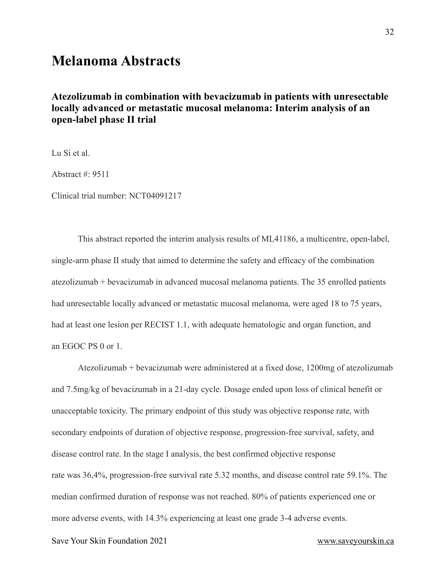# <span id="page-31-0"></span>**Melanoma Abstracts**

### <span id="page-31-1"></span>**Atezolizumab in combination with bevacizumab in patients with unresectable locally advanced or metastatic mucosal melanoma: Interim analysis of an open-label phase II trial**

Lu Si et al.

Abstract #: 9511

Clinical trial number: NCT04091217

This abstract reported the interim analysis results of ML41186, a multicentre, open-label, single-arm phase II study that aimed to determine the safety and efficacy of the combination atezolizumab + bevacizumab in advanced mucosal melanoma patients. The 35 enrolled patients had unresectable locally advanced or metastatic mucosal melanoma, were aged 18 to 75 years, had at least one lesion per RECIST 1.1, with adequate hematologic and organ function, and an EGOC PS 0 or 1.

Atezolizumab + bevacizumab were administered at a fixed dose, 1200mg of atezolizumab and 7.5mg/kg of bevacizumab in a 21-day cycle. Dosage ended upon loss of clinical benefit or unacceptable toxicity. The primary endpoint of this study was objective response rate, with secondary endpoints of duration of objective response, progression-free survival, safety, and disease control rate. In the stage I analysis, the best confirmed objective response rate was 36,4%, progression-free survival rate 5.32 months, and disease control rate 59.1%. The median confirmed duration of response was not reached. 80% of patients experienced one or more adverse events, with 14.3% experiencing at least one grade 3-4 adverse events.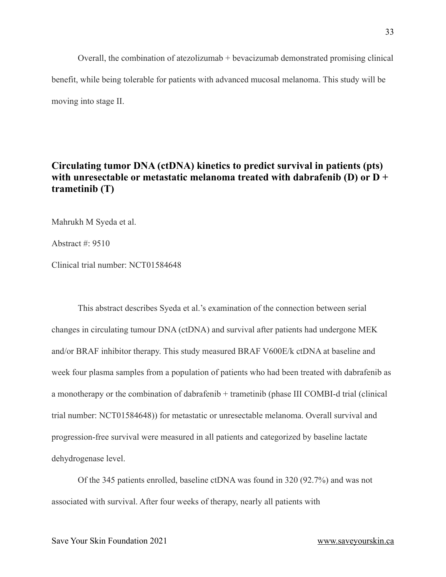Overall, the combination of atezolizumab + bevacizumab demonstrated promising clinical benefit, while being tolerable for patients with advanced mucosal melanoma. This study will be moving into stage II.

#### <span id="page-32-0"></span>**Circulating tumor DNA (ctDNA) kinetics to predict survival in patients (pts) with unresectable or metastatic melanoma treated with dabrafenib (D) or D + trametinib (T)**

Mahrukh M Syeda et al.

Abstract #: 9510

Clinical trial number: NCT01584648

This abstract describes Syeda et al.'s examination of the connection between serial changes in circulating tumour DNA (ctDNA) and survival after patients had undergone MEK and/or BRAF inhibitor therapy. This study measured BRAF V600E/k ctDNA at baseline and week four plasma samples from a population of patients who had been treated with dabrafenib as a monotherapy or the combination of dabrafenib + trametinib (phase III COMBI-d trial (clinical trial number: NCT01584648)) for metastatic or unresectable melanoma. Overall survival and progression-free survival were measured in all patients and categorized by baseline lactate dehydrogenase level.

Of the 345 patients enrolled, baseline ctDNA was found in 320 (92.7%) and was not associated with survival. After four weeks of therapy, nearly all patients with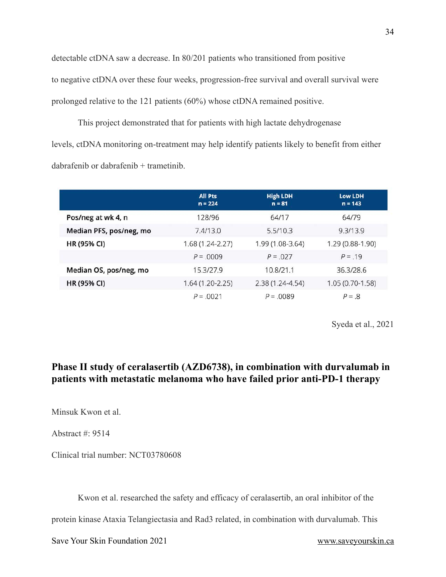detectable ctDNA saw a decrease. In 80/201 patients who transitioned from positive to negative ctDNA over these four weeks, progression-free survival and overall survival were prolonged relative to the 121 patients (60%) whose ctDNA remained positive.

This project demonstrated that for patients with high lactate dehydrogenase levels, ctDNA monitoring on-treatment may help identify patients likely to benefit from either dabrafenib or dabrafenib + trametinib.

|                         | <b>All Pts</b><br>$n = 224$ | <b>High LDH</b><br>$n = 81$ | <b>Low LDH</b><br>$n = 143$ |
|-------------------------|-----------------------------|-----------------------------|-----------------------------|
| Pos/neg at wk 4, n      | 128/96                      | 64/17                       | 64/79                       |
| Median PFS, pos/neg, mo | 7.4/13.0                    | 5.5/10.3                    | 9.3/13.9                    |
| <b>HR (95% CI)</b>      | $1.68(1.24-2.27)$           | 1.99 (1.08-3.64)            | 1.29 (0.88-1.90)            |
|                         | $P = 0009$                  | $P = 0.027$                 | $P = 19$                    |
| Median OS, pos/neg, mo  | 15.3/27.9                   | 10.8/21.1                   | 36.3/28.6                   |
| HR (95% CI)             | $1.64(1.20-2.25)$           | $2.38(1.24 - 4.54)$         | $1.05(0.70-1.58)$           |
|                         | $P = 0.0021$                | $P = 0.0089$                | $P = .8$                    |

Syeda et al., 2021

### <span id="page-33-0"></span>**Phase II study of ceralasertib (AZD6738), in combination with durvalumab in patients with metastatic melanoma who have failed prior anti-PD-1 therapy**

Minsuk Kwon et al.

Abstract #: 9514

Clinical trial number: NCT03780608

Kwon et al. researched the safety and efficacy of ceralasertib, an oral inhibitor of the

protein kinase Ataxia Telangiectasia and Rad3 related, in combination with durvalumab. This

Save Your Skin Foundation 2021 [www.saveyourskin.ca](http://www.saveyourskin.ca)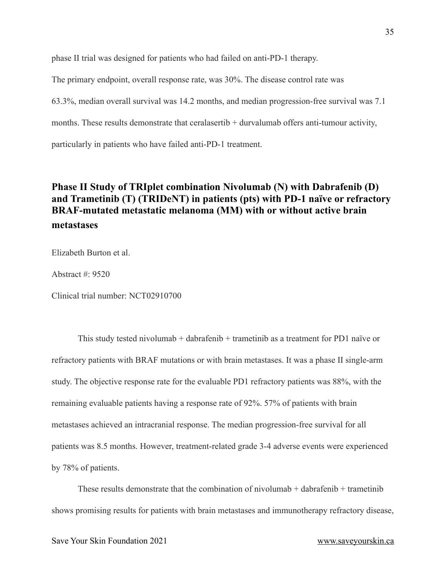phase II trial was designed for patients who had failed on anti-PD-1 therapy.

The primary endpoint, overall response rate, was 30%. The disease control rate was

63.3%, median overall survival was 14.2 months, and median progression-free survival was 7.1

months. These results demonstrate that ceralasertib + durvalumab offers anti-tumour activity,

particularly in patients who have failed anti-PD-1 treatment.

### <span id="page-34-0"></span>**Phase II Study of TRIplet combination Nivolumab (N) with Dabrafenib (D) and Trametinib (T) (TRIDeNT) in patients (pts) with PD-1 naïve or refractory BRAF-mutated metastatic melanoma (MM) with or without active brain metastases**

Elizabeth Burton et al.

Abstract #: 9520

Clinical trial number: NCT02910700

This study tested nivolumab + dabrafenib + trametinib as a treatment for PD1 naïve or refractory patients with BRAF mutations or with brain metastases. It was a phase II single-arm study. The objective response rate for the evaluable PD1 refractory patients was 88%, with the remaining evaluable patients having a response rate of 92%. 57% of patients with brain metastases achieved an intracranial response. The median progression-free survival for all patients was 8.5 months. However, treatment-related grade 3-4 adverse events were experienced by 78% of patients.

These results demonstrate that the combination of nivolumab  $+$  dabrafenib  $+$  trametinib shows promising results for patients with brain metastases and immunotherapy refractory disease,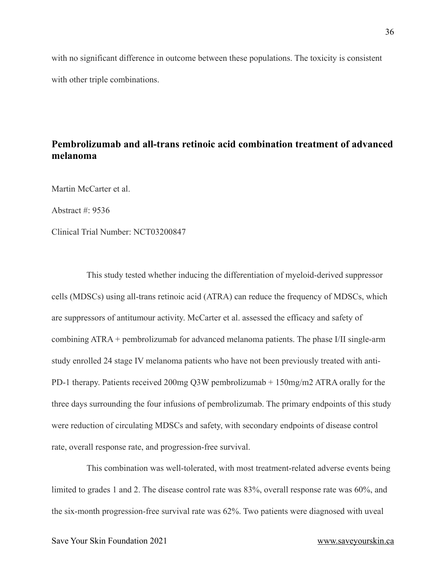with no significant difference in outcome between these populations. The toxicity is consistent with other triple combinations.

### <span id="page-35-0"></span>**Pembrolizumab and all-trans retinoic acid combination treatment of advanced melanoma**

Martin McCarter et al.

Abstract  $\#$  9536

Clinical Trial Number: NCT03200847

This study tested whether inducing the differentiation of myeloid-derived suppressor cells (MDSCs) using all-trans retinoic acid (ATRA) can reduce the frequency of MDSCs, which are suppressors of antitumour activity. McCarter et al. assessed the efficacy and safety of combining ATRA + pembrolizumab for advanced melanoma patients. The phase I/II single-arm study enrolled 24 stage IV melanoma patients who have not been previously treated with anti-PD-1 therapy. Patients received 200mg Q3W pembrolizumab + 150mg/m2 ATRA orally for the three days surrounding the four infusions of pembrolizumab. The primary endpoints of this study were reduction of circulating MDSCs and safety, with secondary endpoints of disease control rate, overall response rate, and progression-free survival.

This combination was well-tolerated, with most treatment-related adverse events being limited to grades 1 and 2. The disease control rate was 83%, overall response rate was 60%, and the six-month progression-free survival rate was 62%. Two patients were diagnosed with uveal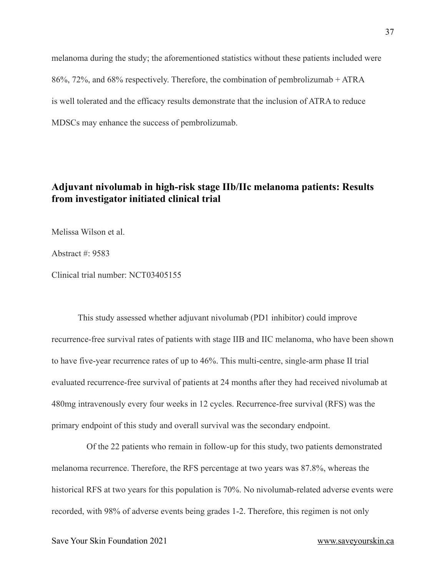melanoma during the study; the aforementioned statistics without these patients included were 86%, 72%, and 68% respectively. Therefore, the combination of pembrolizumab + ATRA is well tolerated and the efficacy results demonstrate that the inclusion of ATRA to reduce MDSCs may enhance the success of pembrolizumab.

### <span id="page-36-0"></span>**Adjuvant nivolumab in high-risk stage IIb/IIc melanoma patients: Results from investigator initiated clinical trial**

Melissa Wilson et al.

Abstract #: 9583

Clinical trial number: NCT03405155

This study assessed whether adjuvant nivolumab (PD1 inhibitor) could improve recurrence-free survival rates of patients with stage IIB and IIC melanoma, who have been shown to have five-year recurrence rates of up to 46%. This multi-centre, single-arm phase II trial evaluated recurrence-free survival of patients at 24 months after they had received nivolumab at 480mg intravenously every four weeks in 12 cycles. Recurrence-free survival (RFS) was the primary endpoint of this study and overall survival was the secondary endpoint.

Of the 22 patients who remain in follow-up for this study, two patients demonstrated melanoma recurrence. Therefore, the RFS percentage at two years was 87.8%, whereas the historical RFS at two years for this population is 70%. No nivolumab-related adverse events were recorded, with 98% of adverse events being grades 1-2. Therefore, this regimen is not only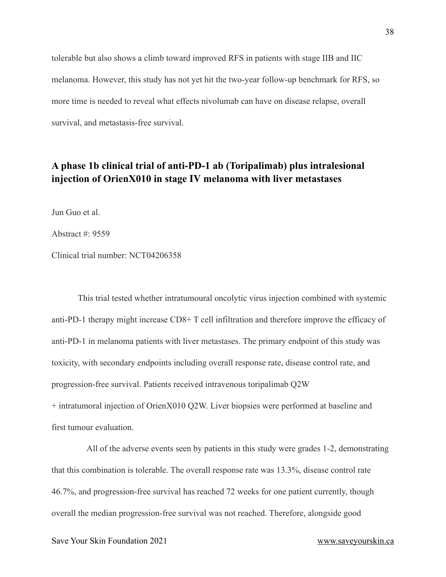tolerable but also shows a climb toward improved RFS in patients with stage IIB and IIC melanoma. However, this study has not yet hit the two-year follow-up benchmark for RFS, so more time is needed to reveal what effects nivolumab can have on disease relapse, overall survival, and metastasis-free survival.

### <span id="page-37-0"></span>**A phase 1b clinical trial of anti-PD-1 ab (Toripalimab) plus intralesional injection of OrienX010 in stage Ⅳ melanoma with liver metastases**

Jun Guo et al.

Abstract  $\#$  9559

Clinical trial number: NCT04206358

This trial tested whether intratumoural oncolytic virus injection combined with systemic anti-PD-1 therapy might increase CD8+ T cell infiltration and therefore improve the efficacy of anti-PD-1 in melanoma patients with liver metastases. The primary endpoint of this study was toxicity, with secondary endpoints including overall response rate, disease control rate, and progression-free survival. Patients received intravenous toripalimab Q2W + intratumoral injection of OrienX010 Q2W. Liver biopsies were performed at baseline and first tumour evaluation.

All of the adverse events seen by patients in this study were grades 1-2, demonstrating that this combination is tolerable. The overall response rate was 13.3%, disease control rate 46.7%, and progression-free survival has reached 72 weeks for one patient currently, though overall the median progression-free survival was not reached. Therefore, alongside good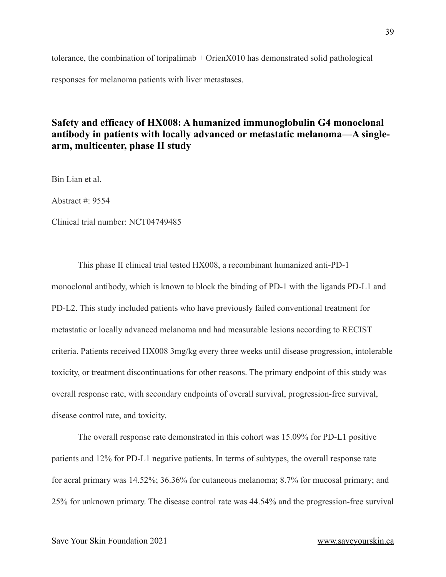tolerance, the combination of toripalimab + OrienX010 has demonstrated solid pathological responses for melanoma patients with liver metastases.

#### <span id="page-38-0"></span>**Safety and efficacy of HX008: A humanized immunoglobulin G4 monoclonal antibody in patients with locally advanced or metastatic melanoma—A singlearm, multicenter, phase II study**

Bin Lian et al.

Abstract #: 9554

Clinical trial number: NCT04749485

This phase II clinical trial tested HX008, a recombinant humanized anti-PD-1 monoclonal antibody, which is known to block the binding of PD-1 with the ligands PD-L1 and PD-L2. This study included patients who have previously failed conventional treatment for metastatic or locally advanced melanoma and had measurable lesions according to RECIST criteria. Patients received HX008 3mg/kg every three weeks until disease progression, intolerable toxicity, or treatment discontinuations for other reasons. The primary endpoint of this study was overall response rate, with secondary endpoints of overall survival, progression-free survival, disease control rate, and toxicity.

The overall response rate demonstrated in this cohort was 15.09% for PD-L1 positive patients and 12% for PD-L1 negative patients. In terms of subtypes, the overall response rate for acral primary was 14.52%; 36.36% for cutaneous melanoma; 8.7% for mucosal primary; and 25% for unknown primary. The disease control rate was 44.54% and the progression-free survival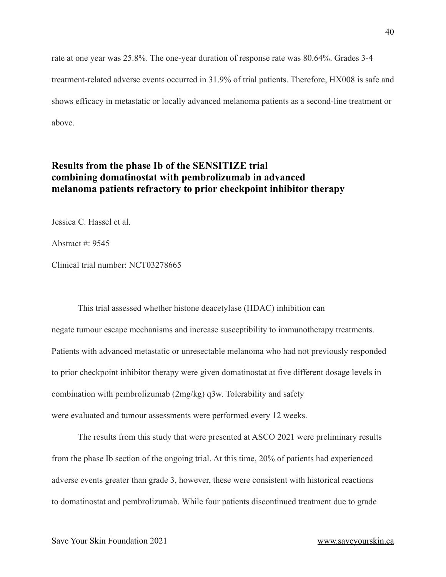rate at one year was 25.8%. The one-year duration of response rate was 80.64%. Grades 3-4 treatment-related adverse events occurred in 31.9% of trial patients. Therefore, HX008 is safe and shows efficacy in metastatic or locally advanced melanoma patients as a second-line treatment or above.

#### <span id="page-39-0"></span>**Results from the phase Ib of the SENSITIZE trial combining domatinostat with pembrolizumab in advanced melanoma patients refractory to prior checkpoint inhibitor therapy**

Jessica C. Hassel et al.

Abstract #: 9545

Clinical trial number: NCT03278665

This trial assessed whether histone deacetylase (HDAC) inhibition can negate tumour escape mechanisms and increase susceptibility to immunotherapy treatments. Patients with advanced metastatic or unresectable melanoma who had not previously responded to prior checkpoint inhibitor therapy were given domatinostat at five different dosage levels in combination with pembrolizumab (2mg/kg) q3w. Tolerability and safety were evaluated and tumour assessments were performed every 12 weeks.

The results from this study that were presented at ASCO 2021 were preliminary results from the phase Ib section of the ongoing trial. At this time, 20% of patients had experienced adverse events greater than grade 3, however, these were consistent with historical reactions to domatinostat and pembrolizumab. While four patients discontinued treatment due to grade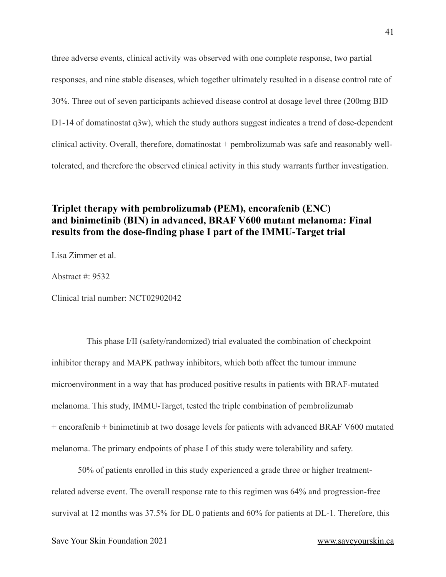three adverse events, clinical activity was observed with one complete response, two partial responses, and nine stable diseases, which together ultimately resulted in a disease control rate of 30%. Three out of seven participants achieved disease control at dosage level three (200mg BID D1-14 of domatinostat q3w), which the study authors suggest indicates a trend of dose-dependent clinical activity. Overall, therefore, domatinostat + pembrolizumab was safe and reasonably welltolerated, and therefore the observed clinical activity in this study warrants further investigation.

#### <span id="page-40-0"></span>**Triplet therapy with pembrolizumab (PEM), encorafenib (ENC) and binimetinib (BIN) in advanced, BRAF V600 mutant melanoma: Final results from the dose-finding phase I part of the IMMU-Target trial**

Lisa Zimmer et al.

Abstract #: 9532

Clinical trial number: NCT02902042

This phase I/II (safety/randomized) trial evaluated the combination of checkpoint inhibitor therapy and MAPK pathway inhibitors, which both affect the tumour immune microenvironment in a way that has produced positive results in patients with BRAF-mutated melanoma. This study, IMMU-Target, tested the triple combination of pembrolizumab + encorafenib + binimetinib at two dosage levels for patients with advanced BRAF V600 mutated melanoma. The primary endpoints of phase I of this study were tolerability and safety.

50% of patients enrolled in this study experienced a grade three or higher treatmentrelated adverse event. The overall response rate to this regimen was 64% and progression-free survival at 12 months was 37.5% for DL 0 patients and 60% for patients at DL-1. Therefore, this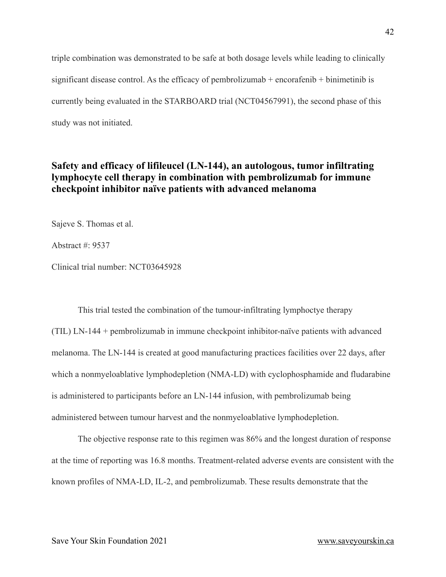triple combination was demonstrated to be safe at both dosage levels while leading to clinically significant disease control. As the efficacy of pembrolizumab  $+$  encorafenib  $+$  binimetinib is currently being evaluated in the STARBOARD trial (NCT04567991), the second phase of this study was not initiated.

### <span id="page-41-0"></span>**Safety and efficacy of lifileucel (LN-144), an autologous, tumor infiltrating lymphocyte cell therapy in combination with pembrolizumab for immune checkpoint inhibitor naïve patients with advanced melanoma**

Sajeve S. Thomas et al.

Abstract #: 9537

Clinical trial number: NCT03645928

This trial tested the combination of the tumour-infiltrating lymphoctye therapy (TIL) LN-144 + pembrolizumab in immune checkpoint inhibitor-naïve patients with advanced melanoma. The LN-144 is created at good manufacturing practices facilities over 22 days, after which a nonmyeloablative lymphodepletion (NMA-LD) with cyclophosphamide and fludarabine is administered to participants before an LN-144 infusion, with pembrolizumab being administered between tumour harvest and the nonmyeloablative lymphodepletion.

The objective response rate to this regimen was 86% and the longest duration of response at the time of reporting was 16.8 months. Treatment-related adverse events are consistent with the known profiles of NMA-LD, IL-2, and pembrolizumab. These results demonstrate that the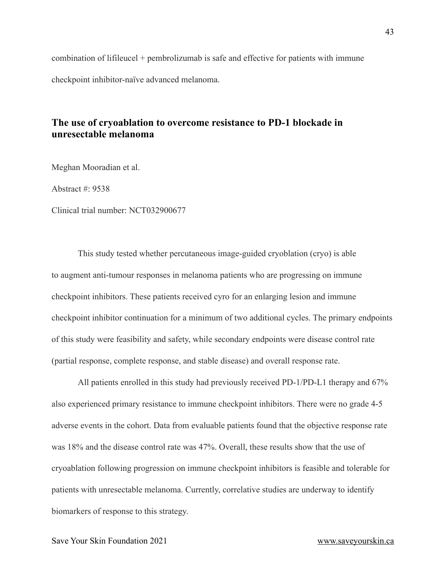combination of lifileucel + pembrolizumab is safe and effective for patients with immune checkpoint inhibitor-naïve advanced melanoma.

#### <span id="page-42-0"></span>**The use of cryoablation to overcome resistance to PD-1 blockade in unresectable melanoma**

Meghan Mooradian et al.

Abstract #: 9538

Clinical trial number: NCT032900677

This study tested whether percutaneous image-guided cryoblation (cryo) is able to augment anti-tumour responses in melanoma patients who are progressing on immune checkpoint inhibitors. These patients received cyro for an enlarging lesion and immune checkpoint inhibitor continuation for a minimum of two additional cycles. The primary endpoints of this study were feasibility and safety, while secondary endpoints were disease control rate (partial response, complete response, and stable disease) and overall response rate.

All patients enrolled in this study had previously received PD-1/PD-L1 therapy and 67% also experienced primary resistance to immune checkpoint inhibitors. There were no grade 4-5 adverse events in the cohort. Data from evaluable patients found that the objective response rate was 18% and the disease control rate was 47%. Overall, these results show that the use of cryoablation following progression on immune checkpoint inhibitors is feasible and tolerable for patients with unresectable melanoma. Currently, correlative studies are underway to identify biomarkers of response to this strategy.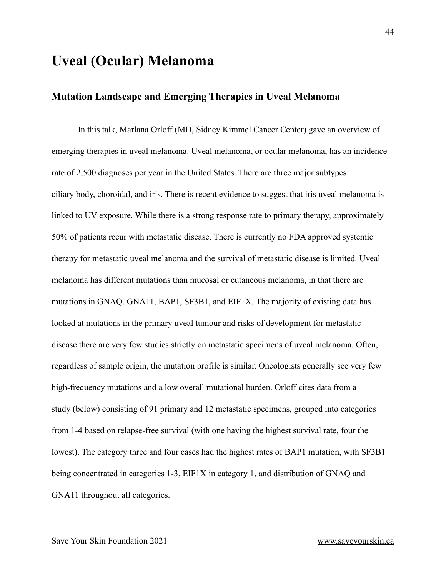# <span id="page-43-0"></span>**Uveal (Ocular) Melanoma**

#### <span id="page-43-1"></span>**Mutation Landscape and Emerging Therapies in Uveal Melanoma**

In this talk, Marlana Orloff (MD, Sidney Kimmel Cancer Center) gave an overview of emerging therapies in uveal melanoma. Uveal melanoma, or ocular melanoma, has an incidence rate of 2,500 diagnoses per year in the United States. There are three major subtypes: ciliary body, choroidal, and iris. There is recent evidence to suggest that iris uveal melanoma is linked to UV exposure. While there is a strong response rate to primary therapy, approximately 50% of patients recur with metastatic disease. There is currently no FDA approved systemic therapy for metastatic uveal melanoma and the survival of metastatic disease is limited. Uveal melanoma has different mutations than mucosal or cutaneous melanoma, in that there are mutations in GNAQ, GNA11, BAP1, SF3B1, and EIF1X. The majority of existing data has looked at mutations in the primary uveal tumour and risks of development for metastatic disease there are very few studies strictly on metastatic specimens of uveal melanoma. Often, regardless of sample origin, the mutation profile is similar. Oncologists generally see very few high-frequency mutations and a low overall mutational burden. Orloff cites data from a study (below) consisting of 91 primary and 12 metastatic specimens, grouped into categories from 1-4 based on relapse-free survival (with one having the highest survival rate, four the lowest). The category three and four cases had the highest rates of BAP1 mutation, with SF3B1 being concentrated in categories 1-3, EIF1X in category 1, and distribution of GNAQ and GNA11 throughout all categories.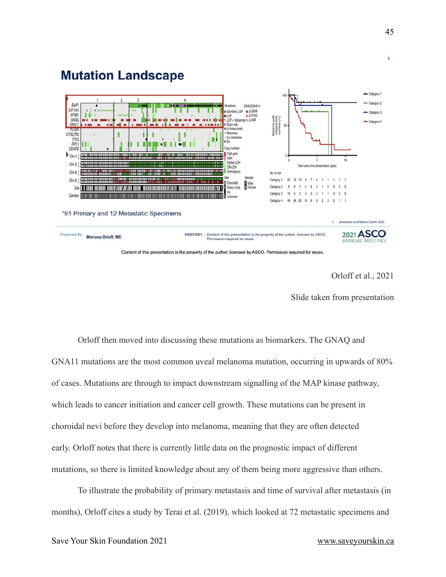

#### Orloff et al., 2021

Slide taken from presentation

Orloff then moved into discussing these mutations as biomarkers. The GNAQ and GNA11 mutations are the most common uveal melanoma mutation, occurring in upwards of 80% of cases. Mutations are through to impact downstream signalling of the MAP kinase pathway, which leads to cancer initiation and cancer cell growth. These mutations can be present in choroidal nevi before they develop into melanoma, meaning that they are often detected early. Orloff notes that there is currently little data on the prognostic impact of different mutations, so there is limited knowledge about any of them being more aggressive than others.

To illustrate the probability of primary metastasis and time of survival after metastasis (in months), Orloff cites a study by Terai et al. (2019), which looked at 72 metastatic specimens and

6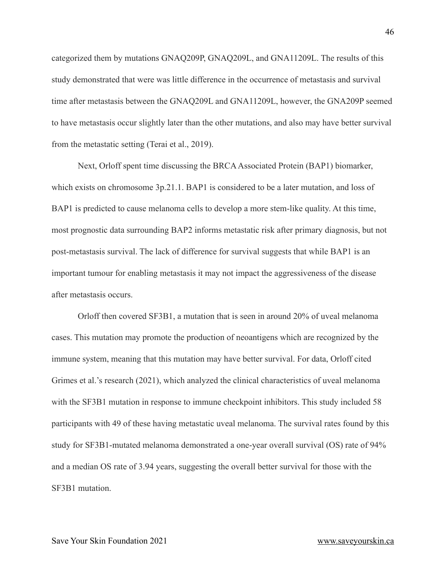categorized them by mutations GNAQ209P, GNAQ209L, and GNA11209L. The results of this study demonstrated that were was little difference in the occurrence of metastasis and survival time after metastasis between the GNAQ209L and GNA11209L, however, the GNA209P seemed to have metastasis occur slightly later than the other mutations, and also may have better survival from the metastatic setting (Terai et al., 2019).

Next, Orloff spent time discussing the BRCA Associated Protein (BAP1) biomarker, which exists on chromosome 3p.21.1. BAP1 is considered to be a later mutation, and loss of BAP1 is predicted to cause melanoma cells to develop a more stem-like quality. At this time, most prognostic data surrounding BAP2 informs metastatic risk after primary diagnosis, but not post-metastasis survival. The lack of difference for survival suggests that while BAP1 is an important tumour for enabling metastasis it may not impact the aggressiveness of the disease after metastasis occurs.

Orloff then covered SF3B1, a mutation that is seen in around 20% of uveal melanoma cases. This mutation may promote the production of neoantigens which are recognized by the immune system, meaning that this mutation may have better survival. For data, Orloff cited Grimes et al.'s research (2021), which analyzed the clinical characteristics of uveal melanoma with the SF3B1 mutation in response to immune checkpoint inhibitors. This study included 58 participants with 49 of these having metastatic uveal melanoma. The survival rates found by this study for SF3B1-mutated melanoma demonstrated a one-year overall survival (OS) rate of 94% and a median OS rate of 3.94 years, suggesting the overall better survival for those with the SF3B1 mutation.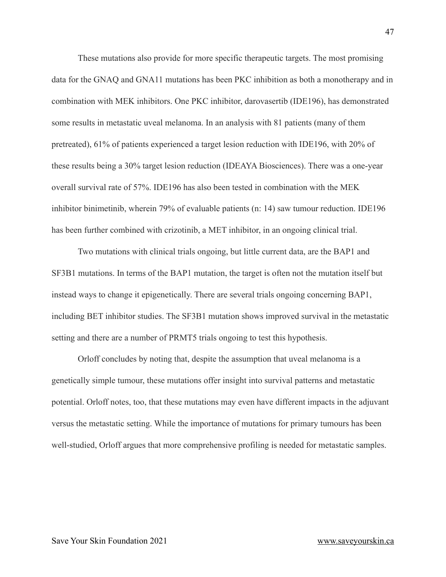These mutations also provide for more specific therapeutic targets. The most promising data for the GNAQ and GNA11 mutations has been PKC inhibition as both a monotherapy and in combination with MEK inhibitors. One PKC inhibitor, darovasertib (IDE196), has demonstrated some results in metastatic uveal melanoma. In an analysis with 81 patients (many of them pretreated), 61% of patients experienced a target lesion reduction with IDE196, with 20% of these results being a 30% target lesion reduction (IDEAYA Biosciences). There was a one-year overall survival rate of 57%. IDE196 has also been tested in combination with the MEK inhibitor binimetinib, wherein 79% of evaluable patients (n: 14) saw tumour reduction. IDE196 has been further combined with crizotinib, a MET inhibitor, in an ongoing clinical trial.

Two mutations with clinical trials ongoing, but little current data, are the BAP1 and SF3B1 mutations. In terms of the BAP1 mutation, the target is often not the mutation itself but instead ways to change it epigenetically. There are several trials ongoing concerning BAP1, including BET inhibitor studies. The SF3B1 mutation shows improved survival in the metastatic setting and there are a number of PRMT5 trials ongoing to test this hypothesis.

Orloff concludes by noting that, despite the assumption that uveal melanoma is a genetically simple tumour, these mutations offer insight into survival patterns and metastatic potential. Orloff notes, too, that these mutations may even have different impacts in the adjuvant versus the metastatic setting. While the importance of mutations for primary tumours has been well-studied, Orloff argues that more comprehensive profiling is needed for metastatic samples.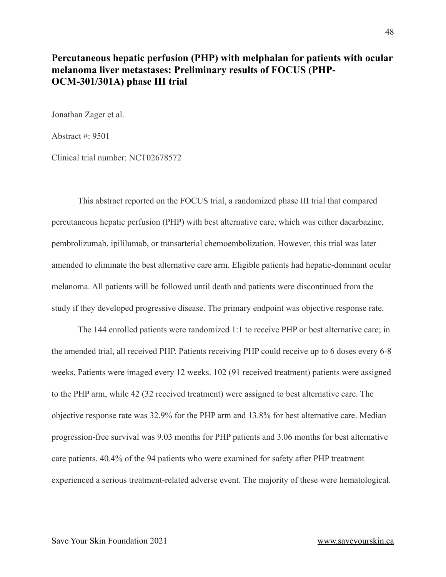#### <span id="page-47-0"></span>**Percutaneous hepatic perfusion (PHP) with melphalan for patients with ocular melanoma liver metastases: Preliminary results of FOCUS (PHP-OCM-301/301A) phase III trial**

Jonathan Zager et al.

Abstract #: 9501

Clinical trial number: NCT02678572

This abstract reported on the FOCUS trial, a randomized phase III trial that compared percutaneous hepatic perfusion (PHP) with best alternative care, which was either dacarbazine, pembrolizumab, ipililumab, or transarterial chemoembolization. However, this trial was later amended to eliminate the best alternative care arm. Eligible patients had hepatic-dominant ocular melanoma. All patients will be followed until death and patients were discontinued from the study if they developed progressive disease. The primary endpoint was objective response rate.

The 144 enrolled patients were randomized 1:1 to receive PHP or best alternative care; in the amended trial, all received PHP. Patients receiving PHP could receive up to 6 doses every 6-8 weeks. Patients were imaged every 12 weeks. 102 (91 received treatment) patients were assigned to the PHP arm, while 42 (32 received treatment) were assigned to best alternative care. The objective response rate was 32.9% for the PHP arm and 13.8% for best alternative care. Median progression-free survival was 9.03 months for PHP patients and 3.06 months for best alternative care patients. 40.4% of the 94 patients who were examined for safety after PHP treatment experienced a serious treatment-related adverse event. The majority of these were hematological.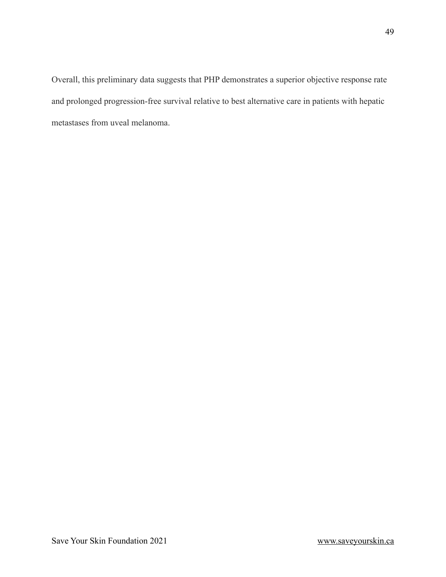Overall, this preliminary data suggests that PHP demonstrates a superior objective response rate and prolonged progression-free survival relative to best alternative care in patients with hepatic metastases from uveal melanoma.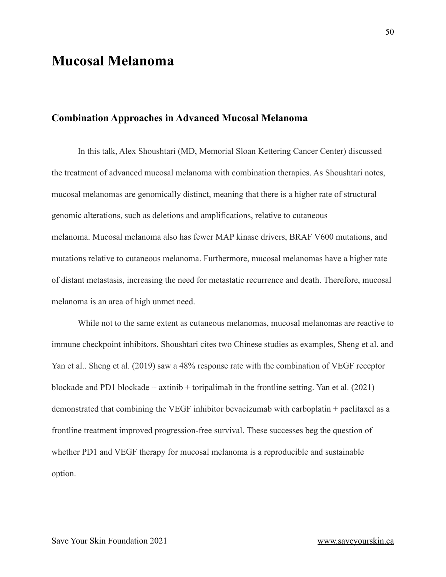# <span id="page-49-0"></span>**Mucosal Melanoma**

#### <span id="page-49-1"></span>**Combination Approaches in Advanced Mucosal Melanoma**

In this talk, Alex Shoushtari (MD, Memorial Sloan Kettering Cancer Center) discussed the treatment of advanced mucosal melanoma with combination therapies. As Shoushtari notes, mucosal melanomas are genomically distinct, meaning that there is a higher rate of structural genomic alterations, such as deletions and amplifications, relative to cutaneous melanoma. Mucosal melanoma also has fewer MAP kinase drivers, BRAF V600 mutations, and mutations relative to cutaneous melanoma. Furthermore, mucosal melanomas have a higher rate of distant metastasis, increasing the need for metastatic recurrence and death. Therefore, mucosal melanoma is an area of high unmet need.

While not to the same extent as cutaneous melanomas, mucosal melanomas are reactive to immune checkpoint inhibitors. Shoushtari cites two Chinese studies as examples, Sheng et al. and Yan et al.. Sheng et al. (2019) saw a 48% response rate with the combination of VEGF receptor blockade and PD1 blockade + axtinib + toripalimab in the frontline setting. Yan et al. (2021) demonstrated that combining the VEGF inhibitor bevacizumab with carboplatin + paclitaxel as a frontline treatment improved progression-free survival. These successes beg the question of whether PD1 and VEGF therapy for mucosal melanoma is a reproducible and sustainable option.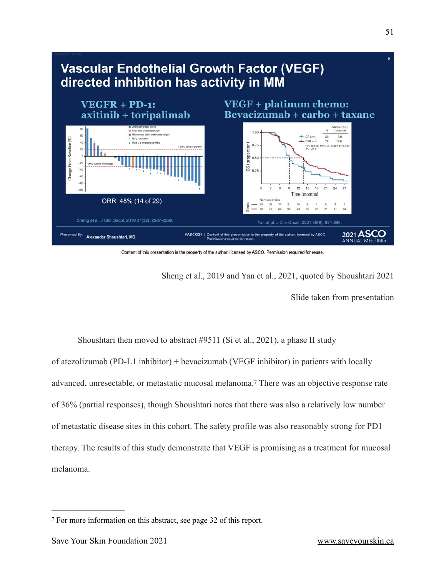

Content of this presentation is the property of the author, licensed by ASCO. Permission required for reuse.

Sheng et al., 2019 and Yan et al., 2021, quoted by Shoushtari 2021

<span id="page-50-1"></span>Slide taken from presentation

Shoushtari then moved to abstract #9511 (Si et al., 2021), a phase II study of atezolizumab (PD-L1 inhibitor) + bevacizumab (VEGF inhibitor) in patients with locally advanced,unresectable, or metastatic mucosal melanoma.<sup>[7](#page-50-0)</sup> There was an objective response rate of 36% (partial responses), though Shoushtari notes that there was also a relatively low number of metastatic disease sites in this cohort. The safety profile was also reasonably strong for PD1 therapy. The results of this study demonstrate that VEGF is promising as a treatment for mucosal melanoma.

<span id="page-50-0"></span>For more information on this abstract, see page 32 of this report. [7](#page-50-1)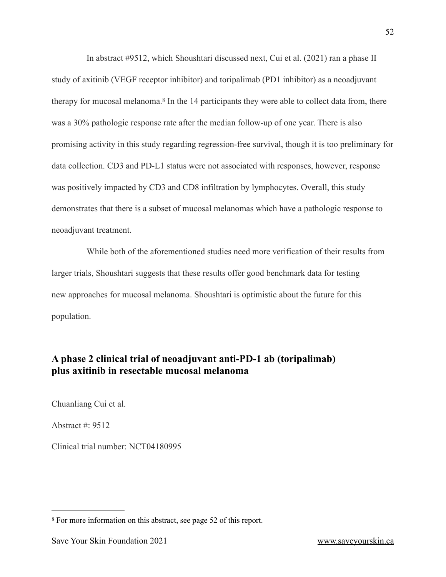<span id="page-51-2"></span>In abstract #9512, which Shoushtari discussed next, Cui et al. (2021) ran a phase II study of axitinib (VEGF receptor inhibitor) and toripalimab (PD1 inhibitor) as a neoadjuvant therapyfor mucosal melanoma.<sup>[8](#page-51-1)</sup> In the 14 participants they were able to collect data from, there was a 30% pathologic response rate after the median follow-up of one year. There is also promising activity in this study regarding regression-free survival, though it is too preliminary for data collection. CD3 and PD-L1 status were not associated with responses, however, response was positively impacted by CD3 and CD8 infiltration by lymphocytes. Overall, this study demonstrates that there is a subset of mucosal melanomas which have a pathologic response to neoadjuvant treatment.

While both of the aforementioned studies need more verification of their results from larger trials, Shoushtari suggests that these results offer good benchmark data for testing new approaches for mucosal melanoma. Shoushtari is optimistic about the future for this population.

#### <span id="page-51-0"></span>**A phase 2 clinical trial of neoadjuvant anti-PD-1 ab (toripalimab) plus axitinib in resectable mucosal melanoma**

Chuanliang Cui et al.

Abstract #: 9512

Clinical trial number: NCT04180995

<span id="page-51-1"></span><sup>&</sup>lt;sup>[8](#page-51-2)</sup> For more information on this abstract, see page 52 of this report.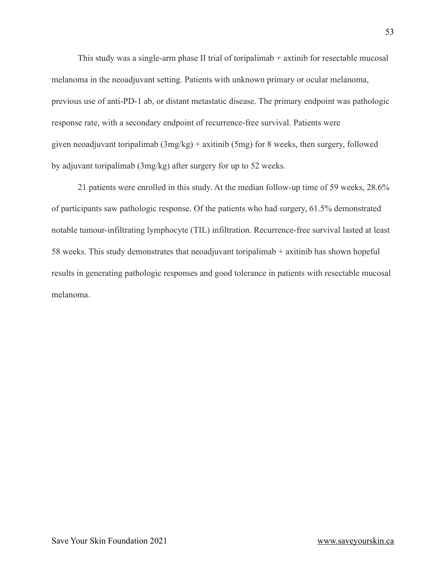This study was a single-arm phase II trial of toripalimab + axtinib for resectable mucosal melanoma in the neoadjuvant setting. Patients with unknown primary or ocular melanoma, previous use of anti-PD-1 ab, or distant metastatic disease. The primary endpoint was pathologic response rate, with a secondary endpoint of recurrence-free survival. Patients were given neoadjuvant toripalimab (3mg/kg) + axitinib (5mg) for 8 weeks, then surgery, followed by adjuvant toripalimab (3mg/kg) after surgery for up to 52 weeks.

21 patients were enrolled in this study. At the median follow-up time of 59 weeks, 28.6% of participants saw pathologic response. Of the patients who had surgery, 61.5% demonstrated notable tumour-infiltrating lymphocyte (TIL) infiltration. Recurrence-free survival lasted at least 58 weeks. This study demonstrates that neoadjuvant toripalimab + axitinib has shown hopeful results in generating pathologic responses and good tolerance in patients with resectable mucosal melanoma.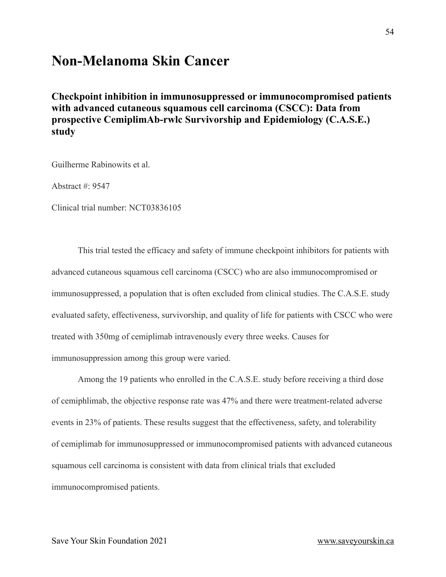# <span id="page-53-0"></span>**Non-Melanoma Skin Cancer**

<span id="page-53-1"></span>**Checkpoint inhibition in immunosuppressed or immunocompromised patients with advanced cutaneous squamous cell carcinoma (CSCC): Data from prospective CemiplimAb-rwlc Survivorship and Epidemiology (C.A.S.E.) study**

Guilherme Rabinowits et al.

Abstract #: 9547

Clinical trial number: NCT03836105

This trial tested the efficacy and safety of immune checkpoint inhibitors for patients with advanced cutaneous squamous cell carcinoma (CSCC) who are also immunocompromised or immunosuppressed, a population that is often excluded from clinical studies. The C.A.S.E. study evaluated safety, effectiveness, survivorship, and quality of life for patients with CSCC who were treated with 350mg of cemiplimab intravenously every three weeks. Causes for immunosuppression among this group were varied.

Among the 19 patients who enrolled in the C.A.S.E. study before receiving a third dose of cemiphlimab, the objective response rate was 47% and there were treatment-related adverse events in 23% of patients. These results suggest that the effectiveness, safety, and tolerability of cemiplimab for immunosuppressed or immunocompromised patients with advanced cutaneous squamous cell carcinoma is consistent with data from clinical trials that excluded immunocompromised patients.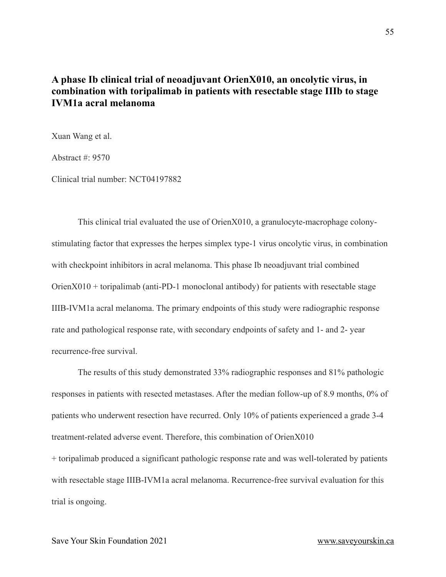#### <span id="page-54-0"></span>**A phase Ib clinical trial of neoadjuvant OrienX010, an oncolytic virus, in combination with toripalimab in patients with resectable stage IIIb to stage IVM1a acral melanoma**

Xuan Wang et al.

Abstract  $\#$  9570

Clinical trial number: NCT04197882

This clinical trial evaluated the use of OrienX010, a granulocyte-macrophage colonystimulating factor that expresses the herpes simplex type-1 virus oncolytic virus, in combination with checkpoint inhibitors in acral melanoma. This phase Ib neoadjuvant trial combined  $OrienX010 + toripalimab$  (anti-PD-1 monoclonal antibody) for patients with resectable stage IIIB-IVM1a acral melanoma. The primary endpoints of this study were radiographic response rate and pathological response rate, with secondary endpoints of safety and 1- and 2- year recurrence-free survival.

The results of this study demonstrated 33% radiographic responses and 81% pathologic responses in patients with resected metastases. After the median follow-up of 8.9 months, 0% of patients who underwent resection have recurred. Only 10% of patients experienced a grade 3-4 treatment-related adverse event. Therefore, this combination of OrienX010

+ toripalimab produced a significant pathologic response rate and was well-tolerated by patients with resectable stage IIIB-IVM1a acral melanoma. Recurrence-free survival evaluation for this trial is ongoing.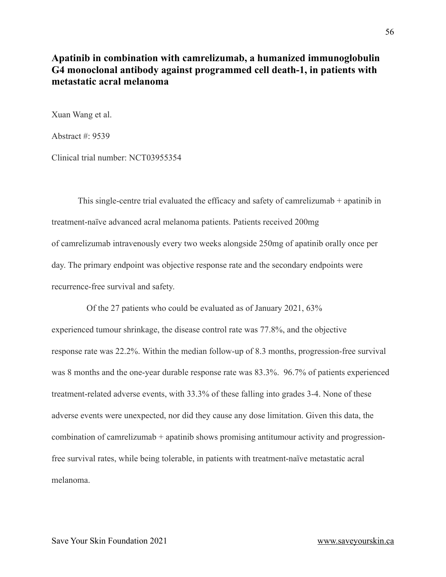#### <span id="page-55-0"></span>**Apatinib in combination with camrelizumab, a humanized immunoglobulin G4 monoclonal antibody against programmed cell death-1, in patients with metastatic acral melanoma**

Xuan Wang et al.

Abstract #: 9539

Clinical trial number: NCT03955354

This single-centre trial evaluated the efficacy and safety of camrelizumab + apatinib in treatment-naïve advanced acral melanoma patients. Patients received 200mg of camrelizumab intravenously every two weeks alongside 250mg of apatinib orally once per day. The primary endpoint was objective response rate and the secondary endpoints were recurrence-free survival and safety.

Of the 27 patients who could be evaluated as of January 2021, 63% experienced tumour shrinkage, the disease control rate was 77.8%, and the objective response rate was 22.2%. Within the median follow-up of 8.3 months, progression-free survival was 8 months and the one-year durable response rate was 83.3%. 96.7% of patients experienced treatment-related adverse events, with 33.3% of these falling into grades 3-4. None of these adverse events were unexpected, nor did they cause any dose limitation. Given this data, the combination of camrelizumab + apatinib shows promising antitumour activity and progressionfree survival rates, while being tolerable, in patients with treatment-naïve metastatic acral melanoma.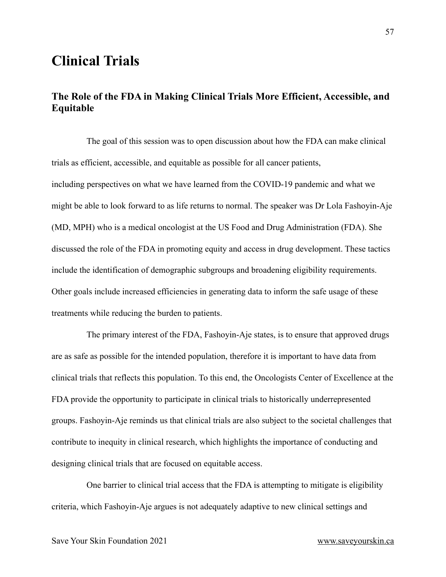# <span id="page-56-0"></span>**Clinical Trials**

### <span id="page-56-1"></span>**The Role of the FDA in Making Clinical Trials More Efficient, Accessible, and Equitable**

The goal of this session was to open discussion about how the FDA can make clinical trials as efficient, accessible, and equitable as possible for all cancer patients, including perspectives on what we have learned from the COVID-19 pandemic and what we might be able to look forward to as life returns to normal. The speaker was Dr Lola Fashoyin-Aje (MD, MPH) who is a medical oncologist at the US Food and Drug Administration (FDA). She discussed the role of the FDA in promoting equity and access in drug development. These tactics include the identification of demographic subgroups and broadening eligibility requirements. Other goals include increased efficiencies in generating data to inform the safe usage of these treatments while reducing the burden to patients.

The primary interest of the FDA, Fashoyin-Aje states, is to ensure that approved drugs are as safe as possible for the intended population, therefore it is important to have data from clinical trials that reflects this population. To this end, the Oncologists Center of Excellence at the FDA provide the opportunity to participate in clinical trials to historically underrepresented groups. Fashoyin-Aje reminds us that clinical trials are also subject to the societal challenges that contribute to inequity in clinical research, which highlights the importance of conducting and designing clinical trials that are focused on equitable access.

One barrier to clinical trial access that the FDA is attempting to mitigate is eligibility criteria, which Fashoyin-Aje argues is not adequately adaptive to new clinical settings and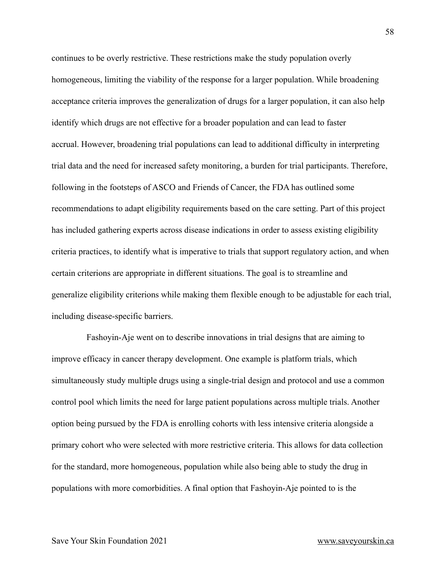continues to be overly restrictive. These restrictions make the study population overly homogeneous, limiting the viability of the response for a larger population. While broadening acceptance criteria improves the generalization of drugs for a larger population, it can also help identify which drugs are not effective for a broader population and can lead to faster accrual. However, broadening trial populations can lead to additional difficulty in interpreting trial data and the need for increased safety monitoring, a burden for trial participants. Therefore, following in the footsteps of ASCO and Friends of Cancer, the FDA has outlined some recommendations to adapt eligibility requirements based on the care setting. Part of this project has included gathering experts across disease indications in order to assess existing eligibility criteria practices, to identify what is imperative to trials that support regulatory action, and when certain criterions are appropriate in different situations. The goal is to streamline and generalize eligibility criterions while making them flexible enough to be adjustable for each trial, including disease-specific barriers.

Fashoyin-Aje went on to describe innovations in trial designs that are aiming to improve efficacy in cancer therapy development. One example is platform trials, which simultaneously study multiple drugs using a single-trial design and protocol and use a common control pool which limits the need for large patient populations across multiple trials. Another option being pursued by the FDA is enrolling cohorts with less intensive criteria alongside a primary cohort who were selected with more restrictive criteria. This allows for data collection for the standard, more homogeneous, population while also being able to study the drug in populations with more comorbidities. A final option that Fashoyin-Aje pointed to is the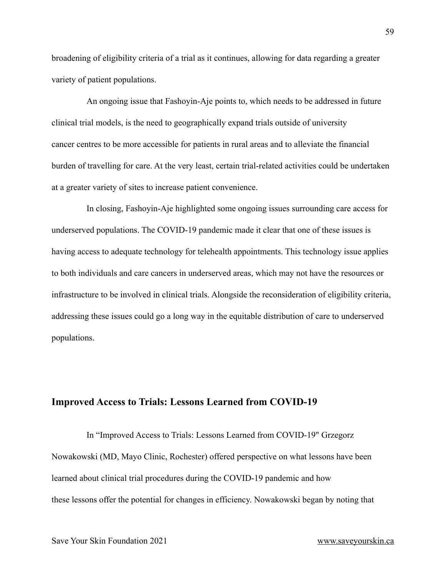broadening of eligibility criteria of a trial as it continues, allowing for data regarding a greater variety of patient populations.

An ongoing issue that Fashoyin-Aje points to, which needs to be addressed in future clinical trial models, is the need to geographically expand trials outside of university cancer centres to be more accessible for patients in rural areas and to alleviate the financial burden of travelling for care. At the very least, certain trial-related activities could be undertaken at a greater variety of sites to increase patient convenience.

In closing, Fashoyin-Aje highlighted some ongoing issues surrounding care access for underserved populations. The COVID-19 pandemic made it clear that one of these issues is having access to adequate technology for telehealth appointments. This technology issue applies to both individuals and care cancers in underserved areas, which may not have the resources or infrastructure to be involved in clinical trials. Alongside the reconsideration of eligibility criteria, addressing these issues could go a long way in the equitable distribution of care to underserved populations.

#### <span id="page-58-0"></span>**Improved Access to Trials: Lessons Learned from COVID-19**

In "Improved Access to Trials: Lessons Learned from COVID-19" Grzegorz Nowakowski (MD, Mayo Clinic, Rochester) offered perspective on what lessons have been learned about clinical trial procedures during the COVID-19 pandemic and how these lessons offer the potential for changes in efficiency. Nowakowski began by noting that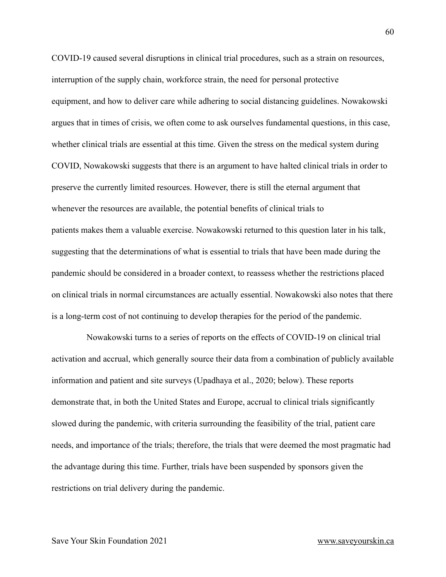COVID-19 caused several disruptions in clinical trial procedures, such as a strain on resources, interruption of the supply chain, workforce strain, the need for personal protective equipment, and how to deliver care while adhering to social distancing guidelines. Nowakowski argues that in times of crisis, we often come to ask ourselves fundamental questions, in this case, whether clinical trials are essential at this time. Given the stress on the medical system during COVID, Nowakowski suggests that there is an argument to have halted clinical trials in order to preserve the currently limited resources. However, there is still the eternal argument that whenever the resources are available, the potential benefits of clinical trials to patients makes them a valuable exercise. Nowakowski returned to this question later in his talk, suggesting that the determinations of what is essential to trials that have been made during the pandemic should be considered in a broader context, to reassess whether the restrictions placed on clinical trials in normal circumstances are actually essential. Nowakowski also notes that there is a long-term cost of not continuing to develop therapies for the period of the pandemic.

Nowakowski turns to a series of reports on the effects of COVID-19 on clinical trial activation and accrual, which generally source their data from a combination of publicly available information and patient and site surveys (Upadhaya et al., 2020; below). These reports demonstrate that, in both the United States and Europe, accrual to clinical trials significantly slowed during the pandemic, with criteria surrounding the feasibility of the trial, patient care needs, and importance of the trials; therefore, the trials that were deemed the most pragmatic had the advantage during this time. Further, trials have been suspended by sponsors given the restrictions on trial delivery during the pandemic.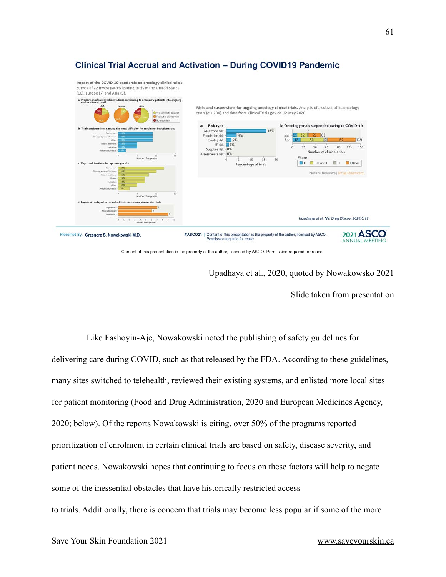



Content of this presentation is the property of the author, licensed by ASCO. Permission required for reuse.

Upadhaya et al., 2020, quoted by Nowakowsko 2021

Slide taken from presentation

Like Fashoyin-Aje, Nowakowski noted the publishing of safety guidelines for delivering care during COVID, such as that released by the FDA. According to these guidelines, many sites switched to telehealth, reviewed their existing systems, and enlisted more local sites for patient monitoring (Food and Drug Administration, 2020 and European Medicines Agency, 2020; below). Of the reports Nowakowski is citing, over 50% of the programs reported prioritization of enrolment in certain clinical trials are based on safety, disease severity, and patient needs. Nowakowski hopes that continuing to focus on these factors will help to negate some of the inessential obstacles that have historically restricted access to trials. Additionally, there is concern that trials may become less popular if some of the more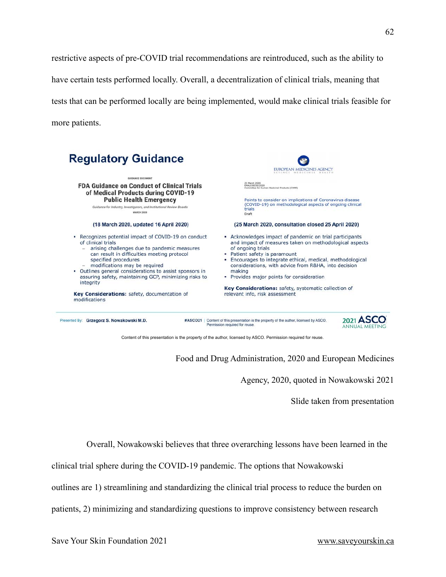restrictive aspects of pre-COVID trial recommendations are reintroduced, such as the ability to have certain tests performed locally. Overall, a decentralization of clinical trials, meaning that tests that can be performed locally are being implemented, would make clinical trials feasible for more patients.

| <b>Regulatory Guidance</b>                                                                                                                                                                                                                                                                                                                                                 | EUROPEAN MEDICINES AGENCY<br><b>SCIENCE</b><br>MIDICINIS                                                                                                                                                                                                                                                                                                                                                                                                                                                                                                                                                                                                                                                                       |  |  |
|----------------------------------------------------------------------------------------------------------------------------------------------------------------------------------------------------------------------------------------------------------------------------------------------------------------------------------------------------------------------------|--------------------------------------------------------------------------------------------------------------------------------------------------------------------------------------------------------------------------------------------------------------------------------------------------------------------------------------------------------------------------------------------------------------------------------------------------------------------------------------------------------------------------------------------------------------------------------------------------------------------------------------------------------------------------------------------------------------------------------|--|--|
| GUIDANCE DOCUMENT                                                                                                                                                                                                                                                                                                                                                          | 25 March 2020<br>0505/02331/AM<br>mittee for Human Medicinal Products (CHMP)<br>Points to consider on implications of Coronavirus disease<br>(COVID-19) on methodological aspects of ongoing clinical<br>trials<br>Draft<br>(25 March 2020, consultation closed 25 April 2020)<br>• Acknowledges impact of pandemic on trial participants<br>and impact of measures taken on methodological aspects<br>of ongoing trials<br>• Patient safety is paramount<br>Encourages to integrate ethical, medical, methodological<br>considerations, with advice from R&HA, into decision<br>making<br>• Provides major points for consideration<br>Key Considerations: safety, systematic collection of<br>relevant info, risk assessment |  |  |
| <b>FDA Guidance on Conduct of Clinical Trials</b><br>of Medical Products during COVID-19<br><b>Public Health Emergency</b><br>Guidance for Industry, Investigators, and Institutional Review Boards                                                                                                                                                                        |                                                                                                                                                                                                                                                                                                                                                                                                                                                                                                                                                                                                                                                                                                                                |  |  |
| <b>MARCH 2020</b>                                                                                                                                                                                                                                                                                                                                                          |                                                                                                                                                                                                                                                                                                                                                                                                                                                                                                                                                                                                                                                                                                                                |  |  |
| (18 March 2020, updated 16 April 2020)                                                                                                                                                                                                                                                                                                                                     |                                                                                                                                                                                                                                                                                                                                                                                                                                                                                                                                                                                                                                                                                                                                |  |  |
| Recognizes potential impact of COVID-19 on conduct<br>٠<br>of clinical trials<br>arising challenges due to pandemic measures<br>can result in difficulties meeting protocol<br>specified procedures<br>- modifications may be required<br>Outlines general considerations to assist sponsors in<br>٠<br>assuring safety, maintaining GCP, minimizing risks to<br>integrity |                                                                                                                                                                                                                                                                                                                                                                                                                                                                                                                                                                                                                                                                                                                                |  |  |
| Key Considerations: safety, documentation of<br>modifications                                                                                                                                                                                                                                                                                                              |                                                                                                                                                                                                                                                                                                                                                                                                                                                                                                                                                                                                                                                                                                                                |  |  |
| Presented By: Grzegorz S. Nowakowski M.D.<br>#ASCO21                                                                                                                                                                                                                                                                                                                       | Content of this presentation is the property of the author, licensed by ASCO.<br>Permission required for reuse.                                                                                                                                                                                                                                                                                                                                                                                                                                                                                                                                                                                                                |  |  |

Content of this presentation is the property of the author, licensed by ASCO. Permission required for reuse.

Food and Drug Administration, 2020 and European Medicines

Agency, 2020, quoted in Nowakowski 2021

Slide taken from presentation

Overall, Nowakowski believes that three overarching lessons have been learned in the

clinical trial sphere during the COVID-19 pandemic. The options that Nowakowski

outlines are 1) streamlining and standardizing the clinical trial process to reduce the burden on

patients, 2) minimizing and standardizing questions to improve consistency between research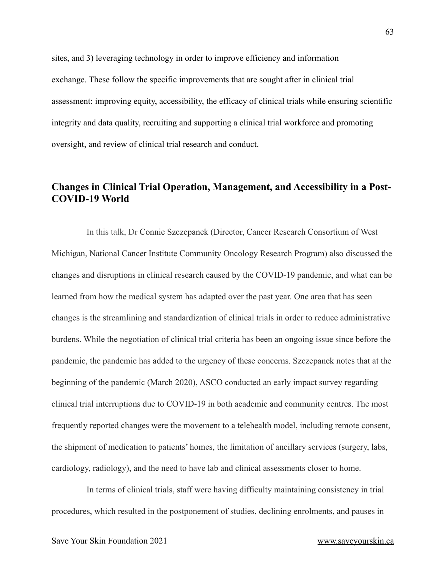sites, and 3) leveraging technology in order to improve efficiency and information exchange. These follow the specific improvements that are sought after in clinical trial assessment: improving equity, accessibility, the efficacy of clinical trials while ensuring scientific integrity and data quality, recruiting and supporting a clinical trial workforce and promoting oversight, and review of clinical trial research and conduct.

#### <span id="page-62-0"></span>**Changes in Clinical Trial Operation, Management, and Accessibility in a Post-COVID-19 World**

In this talk, Dr Connie Szczepanek (Director, Cancer Research Consortium of West Michigan, National Cancer Institute Community Oncology Research Program) also discussed the changes and disruptions in clinical research caused by the COVID-19 pandemic, and what can be learned from how the medical system has adapted over the past year. One area that has seen changes is the streamlining and standardization of clinical trials in order to reduce administrative burdens. While the negotiation of clinical trial criteria has been an ongoing issue since before the pandemic, the pandemic has added to the urgency of these concerns. Szczepanek notes that at the beginning of the pandemic (March 2020), ASCO conducted an early impact survey regarding clinical trial interruptions due to COVID-19 in both academic and community centres. The most frequently reported changes were the movement to a telehealth model, including remote consent, the shipment of medication to patients' homes, the limitation of ancillary services (surgery, labs, cardiology, radiology), and the need to have lab and clinical assessments closer to home.

In terms of clinical trials, staff were having difficulty maintaining consistency in trial procedures, which resulted in the postponement of studies, declining enrolments, and pauses in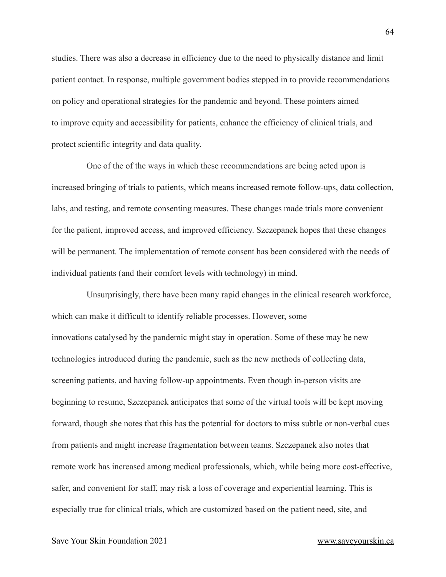studies. There was also a decrease in efficiency due to the need to physically distance and limit patient contact. In response, multiple government bodies stepped in to provide recommendations on policy and operational strategies for the pandemic and beyond. These pointers aimed to improve equity and accessibility for patients, enhance the efficiency of clinical trials, and protect scientific integrity and data quality.

One of the of the ways in which these recommendations are being acted upon is increased bringing of trials to patients, which means increased remote follow-ups, data collection, labs, and testing, and remote consenting measures. These changes made trials more convenient for the patient, improved access, and improved efficiency. Szczepanek hopes that these changes will be permanent. The implementation of remote consent has been considered with the needs of individual patients (and their comfort levels with technology) in mind.

Unsurprisingly, there have been many rapid changes in the clinical research workforce, which can make it difficult to identify reliable processes. However, some innovations catalysed by the pandemic might stay in operation. Some of these may be new technologies introduced during the pandemic, such as the new methods of collecting data, screening patients, and having follow-up appointments. Even though in-person visits are beginning to resume, Szczepanek anticipates that some of the virtual tools will be kept moving forward, though she notes that this has the potential for doctors to miss subtle or non-verbal cues from patients and might increase fragmentation between teams. Szczepanek also notes that remote work has increased among medical professionals, which, while being more cost-effective, safer, and convenient for staff, may risk a loss of coverage and experiential learning. This is especially true for clinical trials, which are customized based on the patient need, site, and

Save Your Skin Foundation 2021 [www.saveyourskin.ca](http://www.saveyourskin.ca)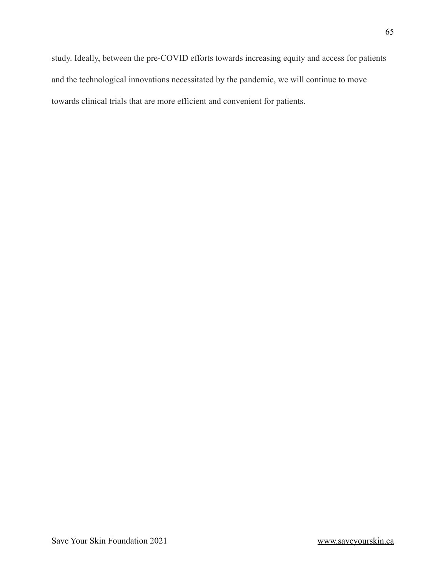study. Ideally, between the pre-COVID efforts towards increasing equity and access for patients and the technological innovations necessitated by the pandemic, we will continue to move towards clinical trials that are more efficient and convenient for patients.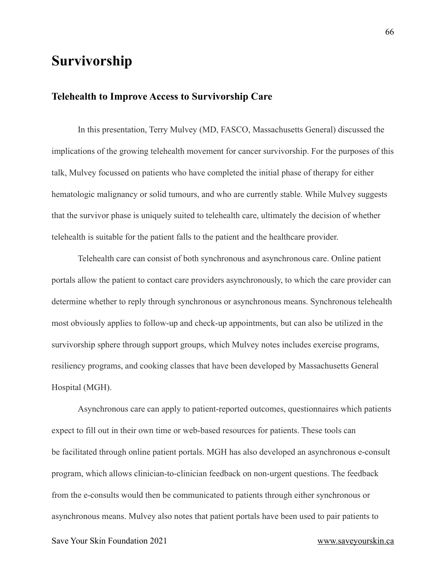# <span id="page-65-0"></span>**Survivorship**

#### <span id="page-65-1"></span>**Telehealth to Improve Access to Survivorship Care**

In this presentation, Terry Mulvey (MD, FASCO, Massachusetts General) discussed the implications of the growing telehealth movement for cancer survivorship. For the purposes of this talk, Mulvey focussed on patients who have completed the initial phase of therapy for either hematologic malignancy or solid tumours, and who are currently stable. While Mulvey suggests that the survivor phase is uniquely suited to telehealth care, ultimately the decision of whether telehealth is suitable for the patient falls to the patient and the healthcare provider.

Telehealth care can consist of both synchronous and asynchronous care. Online patient portals allow the patient to contact care providers asynchronously, to which the care provider can determine whether to reply through synchronous or asynchronous means. Synchronous telehealth most obviously applies to follow-up and check-up appointments, but can also be utilized in the survivorship sphere through support groups, which Mulvey notes includes exercise programs, resiliency programs, and cooking classes that have been developed by Massachusetts General Hospital (MGH).

Asynchronous care can apply to patient-reported outcomes, questionnaires which patients expect to fill out in their own time or web-based resources for patients. These tools can be facilitated through online patient portals. MGH has also developed an asynchronous e-consult program, which allows clinician-to-clinician feedback on non-urgent questions. The feedback from the e-consults would then be communicated to patients through either synchronous or asynchronous means. Mulvey also notes that patient portals have been used to pair patients to

Save Your Skin Foundation 2021 [www.saveyourskin.ca](http://www.saveyourskin.ca)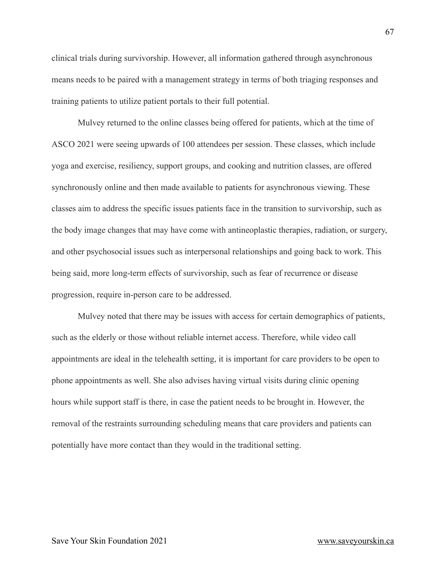clinical trials during survivorship. However, all information gathered through asynchronous means needs to be paired with a management strategy in terms of both triaging responses and training patients to utilize patient portals to their full potential.

Mulvey returned to the online classes being offered for patients, which at the time of ASCO 2021 were seeing upwards of 100 attendees per session. These classes, which include yoga and exercise, resiliency, support groups, and cooking and nutrition classes, are offered synchronously online and then made available to patients for asynchronous viewing. These classes aim to address the specific issues patients face in the transition to survivorship, such as the body image changes that may have come with antineoplastic therapies, radiation, or surgery, and other psychosocial issues such as interpersonal relationships and going back to work. This being said, more long-term effects of survivorship, such as fear of recurrence or disease progression, require in-person care to be addressed.

Mulvey noted that there may be issues with access for certain demographics of patients, such as the elderly or those without reliable internet access. Therefore, while video call appointments are ideal in the telehealth setting, it is important for care providers to be open to phone appointments as well. She also advises having virtual visits during clinic opening hours while support staff is there, in case the patient needs to be brought in. However, the removal of the restraints surrounding scheduling means that care providers and patients can potentially have more contact than they would in the traditional setting.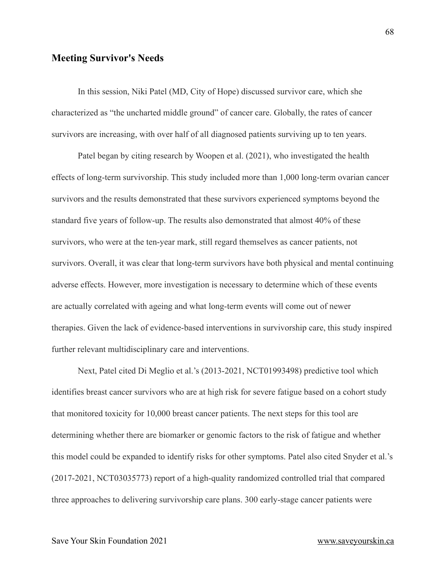#### <span id="page-67-0"></span>**Meeting Survivor's Needs**

In this session, Niki Patel (MD, City of Hope) discussed survivor care, which she characterized as "the uncharted middle ground" of cancer care. Globally, the rates of cancer survivors are increasing, with over half of all diagnosed patients surviving up to ten years.

Patel began by citing research by Woopen et al. (2021), who investigated the health effects of long-term survivorship. This study included more than 1,000 long-term ovarian cancer survivors and the results demonstrated that these survivors experienced symptoms beyond the standard five years of follow-up. The results also demonstrated that almost 40% of these survivors, who were at the ten-year mark, still regard themselves as cancer patients, not survivors. Overall, it was clear that long-term survivors have both physical and mental continuing adverse effects. However, more investigation is necessary to determine which of these events are actually correlated with ageing and what long-term events will come out of newer therapies. Given the lack of evidence-based interventions in survivorship care, this study inspired further relevant multidisciplinary care and interventions.

Next, Patel cited Di Meglio et al.'s (2013-2021, NCT01993498) predictive tool which identifies breast cancer survivors who are at high risk for severe fatigue based on a cohort study that monitored toxicity for 10,000 breast cancer patients. The next steps for this tool are determining whether there are biomarker or genomic factors to the risk of fatigue and whether this model could be expanded to identify risks for other symptoms. Patel also cited Snyder et al.'s (2017-2021, NCT03035773) report of a high-quality randomized controlled trial that compared three approaches to delivering survivorship care plans. 300 early-stage cancer patients were